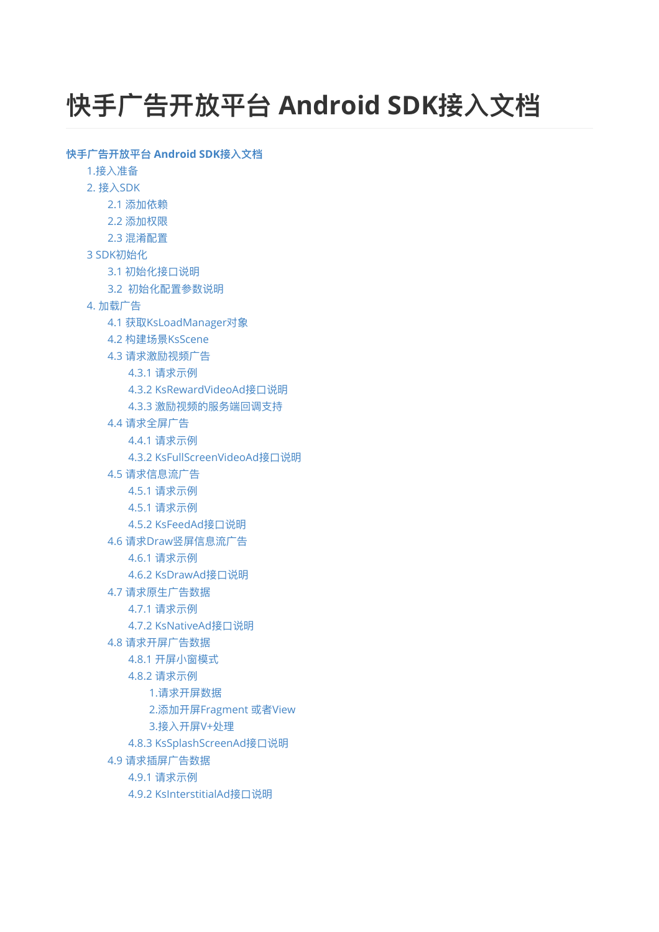# <span id="page-0-0"></span>**快⼿⼴告开放平台 Android SDK接⼊⽂档**

```
快⼿⼴告开放平台 Android SDK接⼊⽂档
  1.接入准备
  2. 接⼊SDK
     2.1 添加依赖
     2.2 添加权限
     2.3 混淆配置
  初始化
     3.1 初始化接口说明
     3.2 初始化配置参数说明
  4. 加载⼴告
     4.1 获取KsLoadManager对象
     4.2 构建场景KsScene
     4.3 请求激励视频广告
        4.3.1 请求示例
        4.3.2 KsRewardVideoAd接口说明
        4.3.3 激励视频的服务端回调支持
     4.4 请求全屏广告
        4.4.1 请求示例
        4.3.2 KsFullScreenVideoAd接口说明
     4.5 请求信息流广告
        4.5.1 请求示例
        4.5.1 请求示例
        4.5.2 KsFeedAd接口说明
     4.6 请求Draw竖屏信息流广告
        4.6.1 请求示例
        4.6.2 KsDrawAd接口说明
     4.7 请求原生广告数据
        4.7.1 请求示例
        4.7.2 KsNativeAd接口说明
     4.8 请求开屏广告数据
        4.8.1 开屏⼩窗模式
        4.8.2 请求示例
           1.请求开屏数据
           2.添加开屏Fragment 或者View
           3.接入开屏V+处理
        4.8.3 KsSplashScreenAd接口说明
     4.9 请求插屏广告数据
        4.9.1 请求示例
        4.9.2 KsInterstitialAd接口说明
```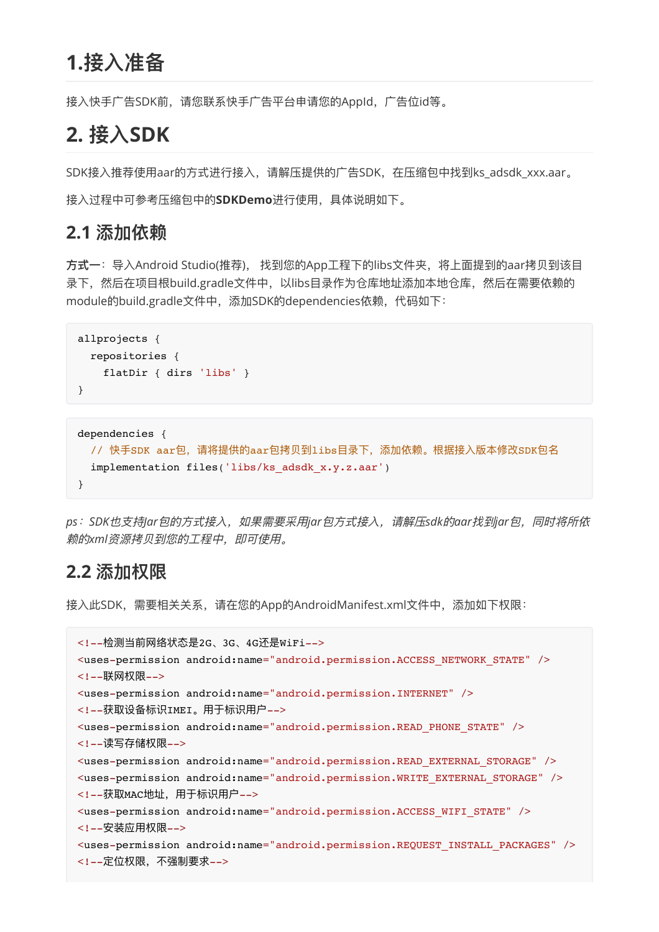# <span id="page-1-0"></span>**1.接⼊准备**

<span id="page-1-1"></span>接入快手广告SDK前,请您联系快手广告平台申请您的AppId,广告位id等。

# **2. 接⼊SDK**

SDK接入推荐使用aar的方式进行接入,请解压提供的广告SDK,在压缩包中找到ks\_adsdk\_xxx.aar。

<span id="page-1-2"></span>接入过程中可参考压缩包中的SDKDemo进行使用,具体说明如下。

### **2.1 添加依赖**

方式一: 导入Android Studio(推荐), 找到您的App工程下的libs文件夹, 将上面提到的aar拷贝到该目 录下,然后在项目根build.gradle文件中,以libs目录作为仓库地址添加本地仓库,然后在需要依赖的 module的build.gradle⽂件中,添加SDK的dependencies依赖,代码如下:

```
allprojects {
   repositories {
     flatDir { dirs 'libs' }
}
```

```
dependencies { 
 // 快手SDK aar包,请将提供的aar包拷贝到libs目录下,添加依赖。根据接入版本修改SDK包名
  implementation files('libs/ks_adsdk_x.y.z.aar') 
}
```
*ps*:*SDK*也⽀持*Jar*包的⽅式接⼊,如果需要采⽤*jar*包⽅式接⼊,请解压*sdk*的*aar*找到*jar*包,同时将所依 赖的*xml*资源拷⻉到您的⼯程中,即可使⽤。

### **2.2 添加权限**

接入此SDK,需要相关关系,请在您的App的AndroidManifest.xml文件中,添加如下权限:

```
<!--检测当前⽹络状态是2G、3G、4G还是WiFi-->
<uses-permission android:name="android.permission.ACCESS_NETWORK_STATE" />
<!--联⽹权限-->
<uses-permission android:name="android.permission.INTERNET" />
<!--获取设备标识IMEI。用于标识用户-->
<uses-permission android:name="android.permission.READ_PHONE_STATE" />
<!--读写存储权限-->
<uses-permission android:name="android.permission.READ_EXTERNAL_STORAGE" />
<uses-permission android:name="android.permission.WRITE_EXTERNAL_STORAGE" />
<!--获取MAC地址,用于标识用户-->
<uses-permission android:name="android.permission.ACCESS_WIFI_STATE" />
<!--安装应⽤权限-->
<uses-permission android:name="android.permission.REQUEST_INSTALL_PACKAGES" />
<!--定位权限,不强制要求-->
```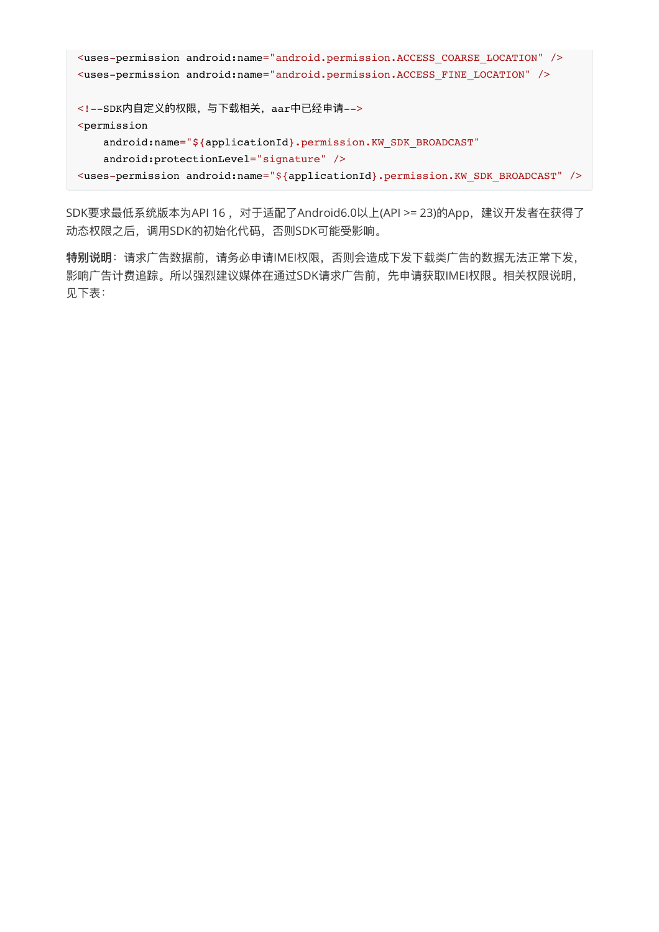```
<uses-permission android:name="android.permission.ACCESS_COARSE_LOCATION" />
<uses-permission android:name="android.permission.ACCESS_FINE_LOCATION" />
<!--SDK内自定义的权限,与下载相关, aar中已经申请-->
<permission
   android:name="${applicationId}.permission.KW_SDK_BROADCAST"
    android:protectionLevel="signature" />
<uses-permission android:name="${applicationId}.permission.KW_SDK_BROADCAST" />
```
SDK要求最低系统版本为API 16, 对于适配了Android6.0以上(API >= 23)的App, 建议开发者在获得了 动态权限之后,调⽤SDK的初始化代码,否则SDK可能受影响。

特别说明:请求广告数据前,请务必申请IMEI权限,否则会造成下发下载类广告的数据无法正常下发, 影响广告计费追踪。所以强烈建议媒体在通过SDK请求广告前,先申请获取IMEI权限。相关权限说明, 见下表: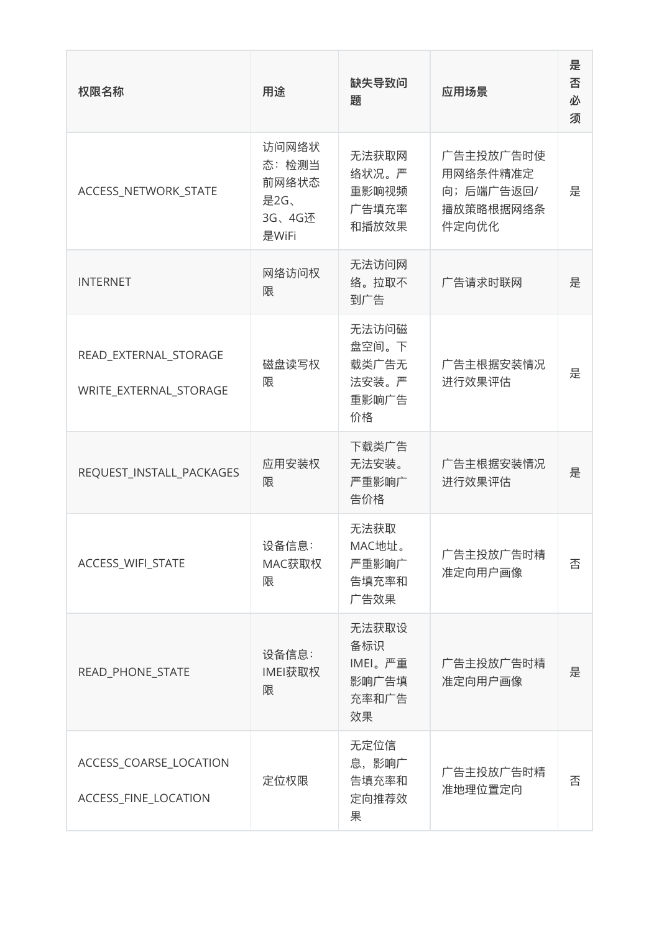| 权限名称                                            | 用途                                                 | 缺失导致问<br>题                                      | 应用场景                                                     | 是<br>否<br>必<br>须 |
|-------------------------------------------------|----------------------------------------------------|-------------------------------------------------|----------------------------------------------------------|------------------|
| ACCESS_NETWORK_STATE                            | 访问网络状<br>态:检测当<br>前网络状态<br>是2G、<br>3G、4G还<br>是WiFi | 无法获取网<br>络状况。严<br>重影响视频<br>广告填充率<br>和播放效果       | 广告主投放广告时使<br>用网络条件精准定<br>向;后端广告返回/<br>播放策略根据网络条<br>件定向优化 | 是                |
| <b>INTERNET</b>                                 | 网络访问权<br>限                                         | 无法访问网<br>络。拉取不<br>到广告                           | 广告请求时联网                                                  | 是                |
| READ_EXTERNAL_STORAGE<br>WRITE_EXTERNAL_STORAGE | 磁盘读写权<br>限                                         | 无法访问磁<br>盘空间。下<br>载类广告无<br>法安装。严<br>重影响广告<br>价格 | 广告主根据安装情况<br>进行效果评估                                      | 是                |
| REQUEST_INSTALL_PACKAGES                        | 应用安装权<br>限                                         | 下载类广告<br>无法安装。<br>严重影响广<br>告价格                  | 广告主根据安装情况<br>进行效果评估                                      | 是                |
| ACCESS_WIFI_STATE                               | 设备信息:<br>MAC获取权<br>限                               | 无法获取<br>MAC地址<br>严重影响广<br>告填充率和<br>广告效果         | 广告主投放广告时精<br>准定向用户画像                                     | 否                |
| READ_PHONE_STATE                                | 设备信息:<br>IMEI获取权<br>限                              | 无法获取设<br>备标识<br>IMEI。严重<br>影响广告填<br>充率和广告<br>效果 | 广告主投放广告时精<br>准定向用户画像                                     | 是                |
| ACCESS_COARSE_LOCATION<br>ACCESS_FINE_LOCATION  | 定位权限                                               | 无定位信<br>息,影响广<br>告填充率和<br>定向推荐效<br>果            | 广告主投放广告时精<br>准地理位置定向                                     | 否                |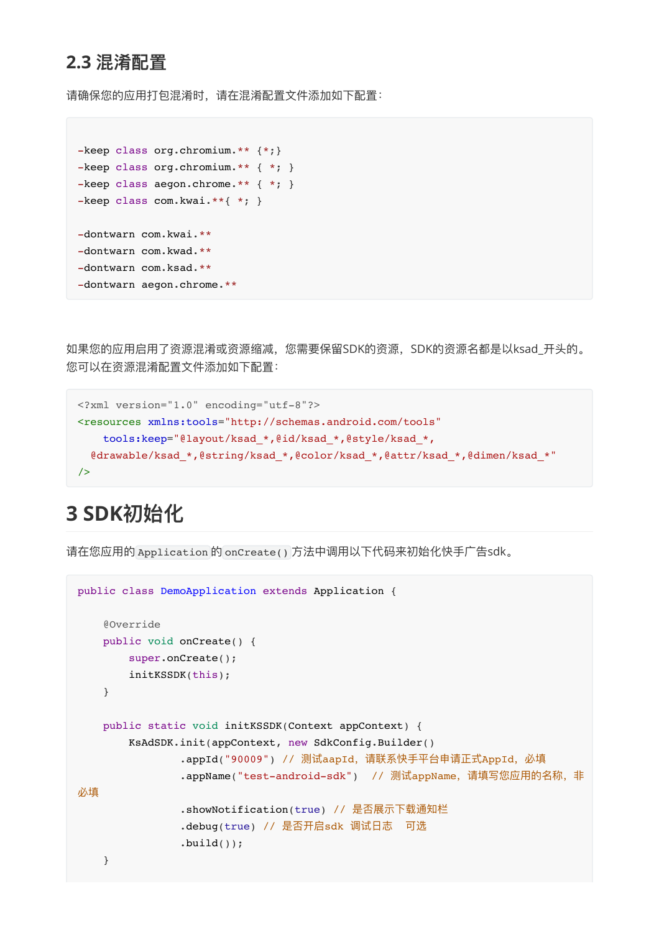### <span id="page-4-0"></span>**2.3 混淆配置**

请确保您的应用打包混淆时,请在混淆配置文件添加如下配置:

```
-keep class org.chromium.** {*;}
-keep class org.chromium.** { *; }
-keep class aegon.chrome.** { *; }
-keep class com.kwai.**{ *; }
-dontwarn com.kwai.**
-dontwarn com.kwad.**
-dontwarn com.ksad.**
-dontwarn aegon.chrome.**
```
如果您的应用启用了资源混淆或资源缩减,您需要保留SDK的资源,SDK的资源名都是以ksad\_开头的。 您可以在资源混淆配置文件添加如下配置:

```
<?xml version="1.0" encoding="utf-8"?>
<resources xmlns:tools="http://schemas.android.com/tools"
     tools:keep="@layout/ksad_*,@id/ksad_*,@style/ksad_*,
  @drawable/ksad *,@string/ksad *,@color/ksad *,@attr/ksad *,@dimen/ksad *"
/
```
# **3 SDK初始化**

请在您应用的 Application 的 onCreate() 方法中调用以下代码来初始化快手广告sdk。

```
public class DemoApplication extends Application {
     @Override
    public void onCreate() {
        super.onCreate();
        initKSSDK(this);
     }
    public static void initKSSDK(Context appContext) {
        KsAdSDK.init(appContext, new SdkConfig.Builder()
               .appId("90009") // 测试aapId, 请联系快手平台申请正式AppId, 必填
               .appName("test-android-sdk") // 测试appName, 请填写您应用的名称, 非
必填
                .showNotification(true) // 是否展示下载通知栏
               .debug(true) // 是否开启sdk 调试日志 可选
               .build();
     }
```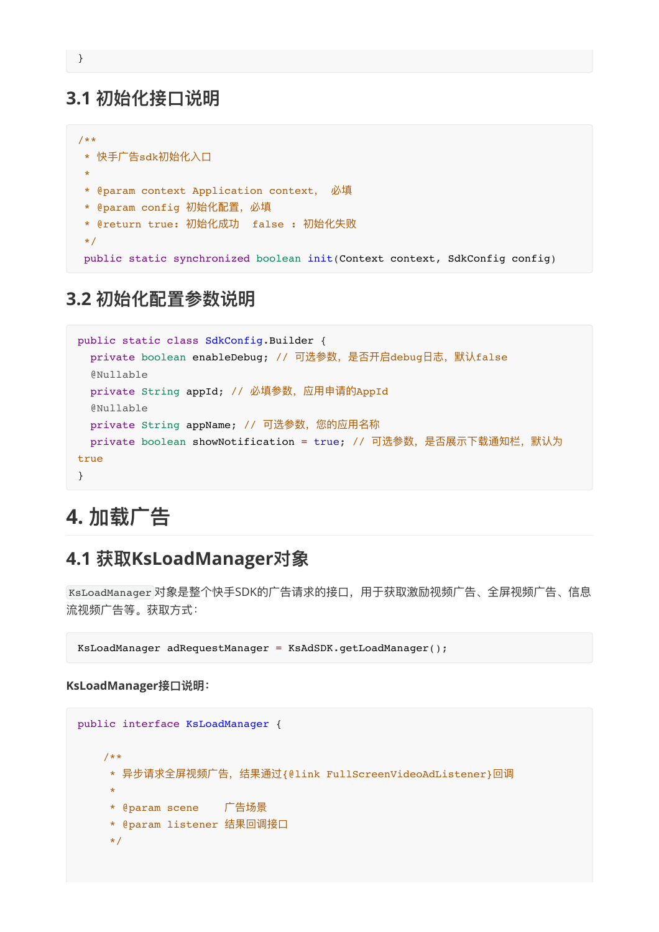### **3.1 初始化接⼝说明**

```
/**
* 快手广告sdk初始化入口
 *
* @param context Application context, 必填
* @param config 初始化配置,必填
* @return true: 初始化成功 false : 初始化失败
*/
public static synchronized boolean init(Context context, SdkConfig config)
```
### **3.2 初始化配置参数说明**

```
public static class SdkConfig.Builder {
 private boolean enableDebug; // 可选参数, 是否开启debug日志, 默认false
  @Nullable
 private String appId; // 必填参数, 应用申请的AppId
  @Nullable
 private String appName; // 可选参数, 您的应用名称
 private boolean showNotification = true; // 可选参数, 是否展示下载通知栏, 默认为
true
}
```
# <span id="page-5-3"></span><span id="page-5-2"></span>**4. 加载⼴告**

### **4.1 获取KsLoadManager对象**

KsLoadManager 对象是整个快手SDK的广告请求的接口, 用于获取激励视频广告、全屏视频广告、信息 流视频广告等。获取方式:

KsLoadManager adRequestManager = KsAdSDK.getLoadManager();

#### **KsLoadManager接⼝说明:**

```
public interface KsLoadManager {
    /**
     * 异步请求全屏视频⼴告,结果通过{@link FullScreenVideoAdListener}回调
 *
    * @param scene 广告场景
     * @param listener 结果回调接⼝
     */
```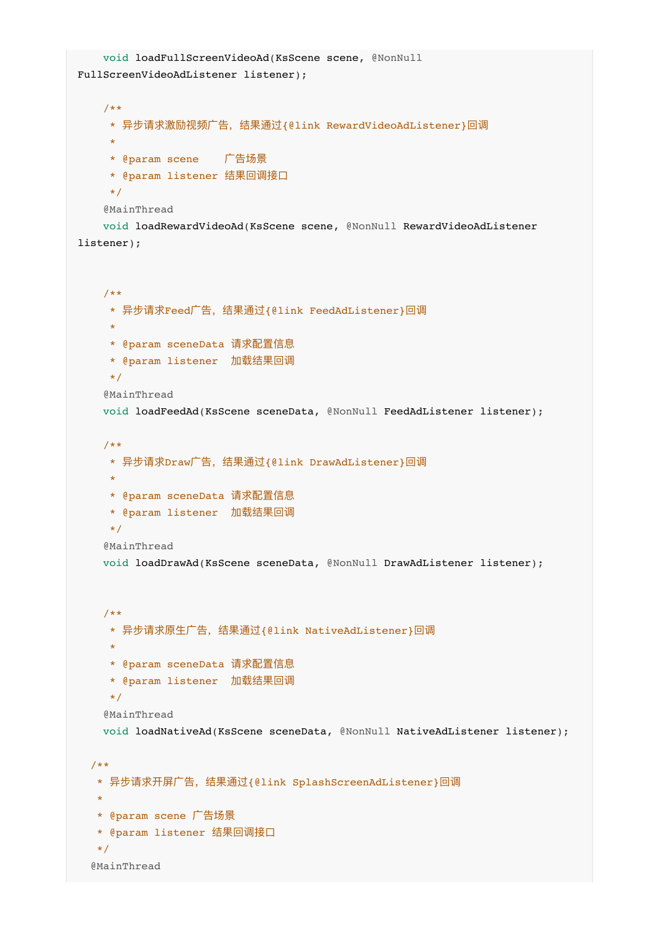```
 void loadFullScreenVideoAd(KsScene scene, @NonNull
FullScreenVideoAdListener listener);
    /**
     * 异步请求激励视频⼴告,结果通过{@link RewardVideoAdListener}回调
 *
    * @param scene 广告场景
     * @param listener 结果回调接⼝
     */
    @MainThread
    void loadRewardVideoAd(KsScene scene, @NonNull RewardVideoAdListener
listener);
    /**
     * 异步请求Feed⼴告,结果通过{@link FeedAdListener}回调
 *
     * @param sceneData 请求配置信息
     * @param listener 加载结果回调
     */
    @MainThread
    void loadFeedAd(KsScene sceneData, @NonNull FeedAdListener listener);
    /**
     * 异步请求Draw⼴告,结果通过{@link DrawAdListener}回调
 *
     * @param sceneData 请求配置信息
     * @param listener 加载结果回调
     */
   @MainThread
    void loadDrawAd(KsScene sceneData, @NonNull DrawAdListener listener);
    /**
     * 异步请求原⽣⼴告,结果通过{@link NativeAdListener}回调
 *
     * @param sceneData 请求配置信息
     * @param listener 加载结果回调
     */
   @MainThread
    void loadNativeAd(KsScene sceneData, @NonNull NativeAdListener listener);
  /**
   * 异步请求开屏⼴告,结果通过{@link SplashScreenAdListener}回调
\mathbf{r}* @param scene 广告场景
   * @param listener 结果回调接⼝
   */
  @MainThread
```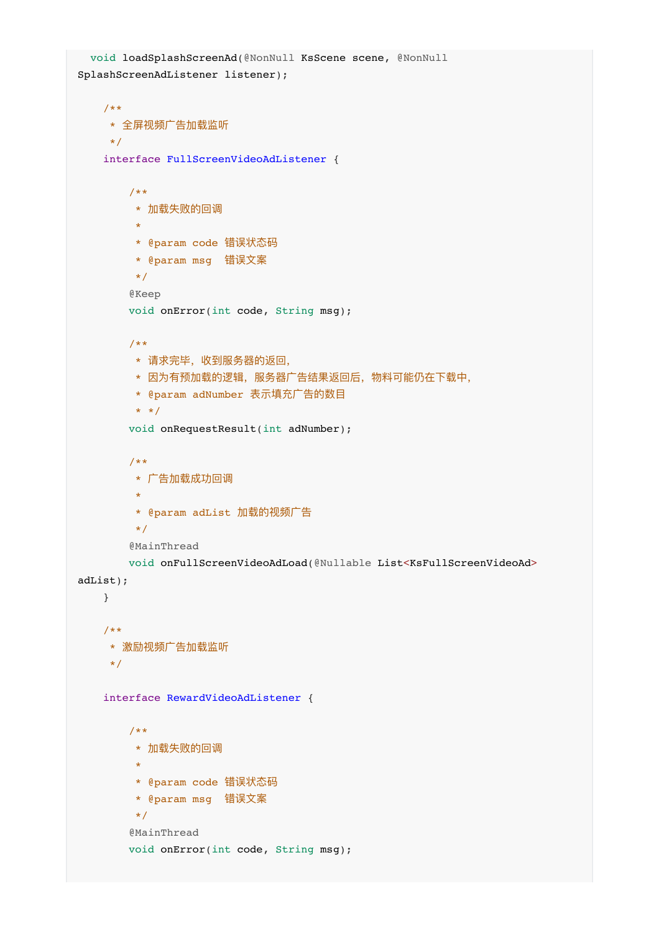```
 void loadSplashScreenAd(@NonNull KsScene scene, @NonNull
SplashScreenAdListener listener);
    /**
    * 全屏视频广告加载监听
    \star /
    interface FullScreenVideoAdListener {
        /**
         * 加载失败的回调
 *
         * @param code 错误状态码
        * @param msg 错误⽂案
         */
        @Keep
        void onError(int code, String msg);
        /**
        * 请求完毕, 收到服务器的返回,
        * 因为有预加载的逻辑,服务器广告结果返回后,物料可能仍在下载中,
        * @param adNumber 表示填充广告的数目
        * */
        void onRequestResult(int adNumber);
        /**
         * ⼴告加载成功回调
 *
        * @param adList 加载的视频广告
         */
        @MainThread
        void onFullScreenVideoAdLoad(@Nullable List<KsFullScreenVideoAd>
adList);
    }
    /**
    * 激励视频广告加载监听
     */
    interface RewardVideoAdListener {
        /**
         * 加载失败的回调
 *
         * @param code 错误状态码
         * @param msg 错误⽂案
         */
       @MainThread
        void onError(int code, String msg);
```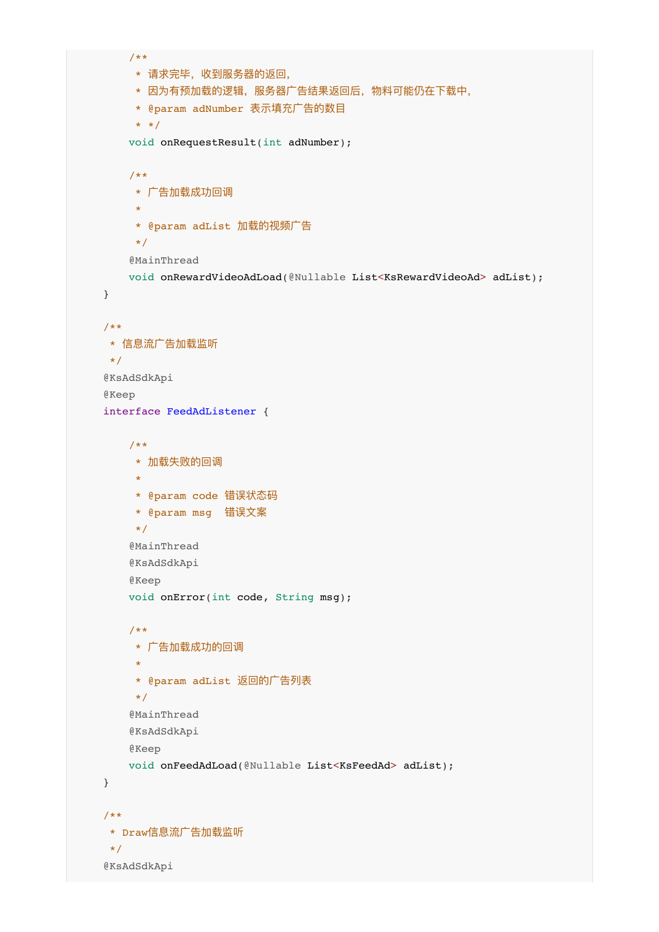```
 /**
        * 请求完毕, 收到服务器的返回,
        * 因为有预加载的逻辑, 服务器广告结果返回后, 物料可能仍在下载中,
        * @param adNumber 表示填充广告的数目
         * */
        void onRequestResult(int adNumber);
        /**
        * ⼴告加载成功回调
 *
        * @param adList 加载的视频广告
         */
        @MainThread
        void onRewardVideoAdLoad(@Nullable List<KsRewardVideoAd> adList);
    }
    /**
    * 信息流广告加载监听
     */
    @KsAdSdkApi
    @Keep
    interface FeedAdListener {
        /**
        * 加载失败的回调
 *
        * @param code 错误状态码
        * @param msg 错误⽂案
         */
        @MainThread
        @KsAdSdkApi
        @Keep
        void onError(int code, String msg);
        /**
         * ⼴告加载成功的回调
 *
         * @param adList 返回的⼴告列表
         */
        @MainThread
        @KsAdSdkApi
        @Keep
        void onFeedAdLoad(@Nullable List<KsFeedAd> adList);
    }
    /**
    * Draw信息流广告加载监听
     */
    @KsAdSdkApi
```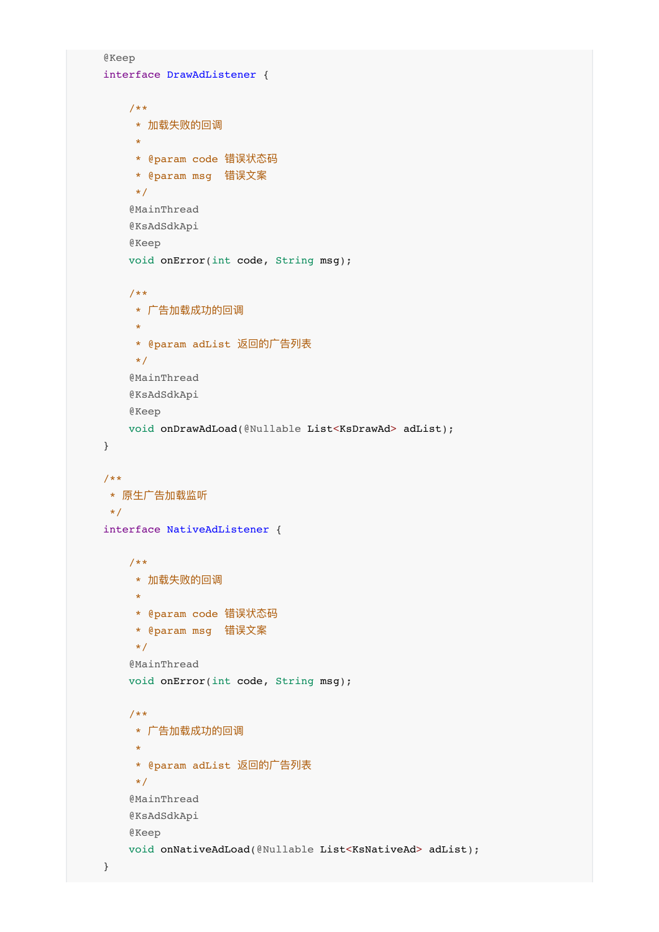```
 @Keep
    interface DrawAdListener {
        /**
         * 加载失败的回调
 *
         * @param code 错误状态码
         * @param msg 错误⽂案
         */
        @MainThread
        @KsAdSdkApi
        @Keep
       void onError(int code, String msg);
        /**
         * ⼴告加载成功的回调
 *
         * @param adList 返回的⼴告列表
         */
        @MainThread
        @KsAdSdkApi
        @Keep
        void onDrawAdLoad(@Nullable List<KsDrawAd> adList);
    }
    /**
     * 原⽣⼴告加载监听
     */
    interface NativeAdListener {
        /**
        * 加载失败的回调
 *
         * @param code 错误状态码
         * @param msg 错误⽂案
         */
        @MainThread
        void onError(int code, String msg);
        /**
         * ⼴告加载成功的回调
 *
         * @param adList 返回的⼴告列表
         */
        @MainThread
        @KsAdSdkApi
        @Keep
        void onNativeAdLoad(@Nullable List<KsNativeAd> adList);
```

```
 }
```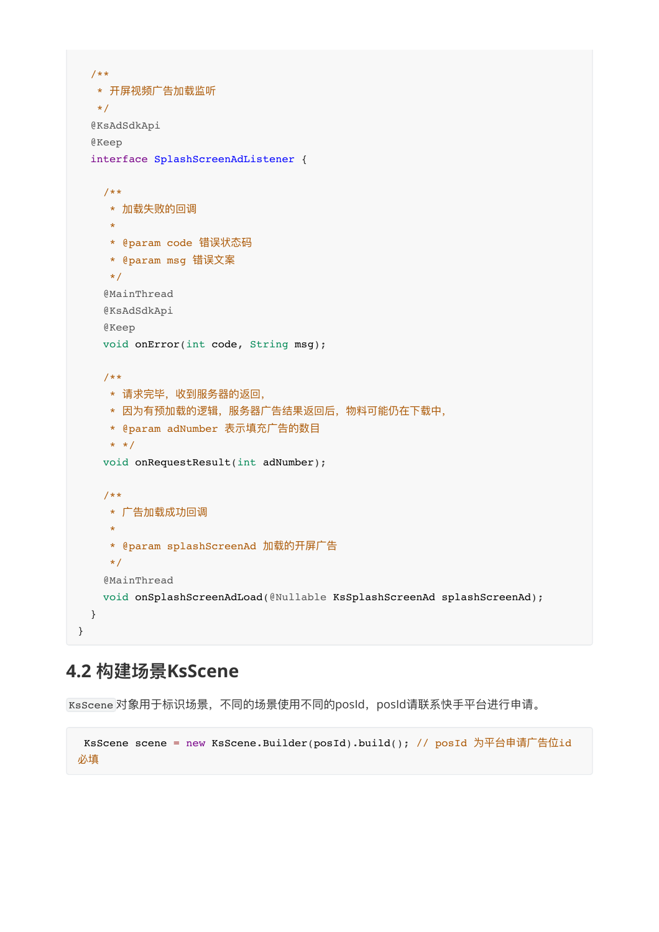```
 /**
  * 开屏视频广告加载监听
   */
  @KsAdSdkApi
  @Keep
  interface SplashScreenAdListener {
    /**
     * 加载失败的回调
 *
     * @param code 错误状态码
     * @param msg 错误⽂案
     */
    @MainThread
    @KsAdSdkApi
    @Keep
    void onError(int code, String msg);
    /**
    * 请求完毕,收到服务器的返回,
    * 因为有预加载的逻辑, 服务器广告结果返回后, 物料可能仍在下载中,
    * @param adNumber 表示填充广告的数目
    * * /
    void onRequestResult(int adNumber);
    /**
     * ⼴告加载成功回调
 *
    * @param splashScreenAd 加载的开屏广告
     */
    @MainThread
    void onSplashScreenAdLoad(@Nullable KsSplashScreenAd splashScreenAd);
  }
}
```
### **4.2 构建场景KsScene**

KsScene 对象用于标识场景,不同的场景使用不同的posId, posId请联系快手平台进行申请。

```
KsScene scene = new KsScene.Builder(posId).build(); // posId 为平台申请广告位id
必填
```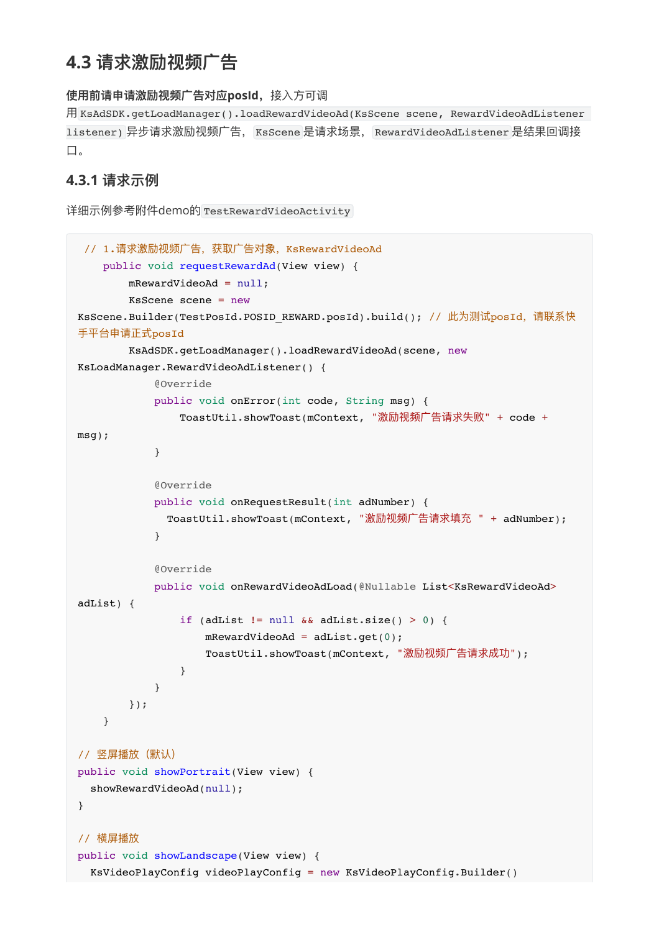# <span id="page-11-0"></span>**4.3 请求激励视频⼴告**

#### **使⽤前请申请激励视频⼴告对应posId,**接⼊⽅可调

⽤ KsAdSDK.getLoadManager().loadRewardVideoAd(KsScene scene, RewardVideoAdListener listener) 异步请求激励视频⼴告, KsScene 是请求场景, RewardVideoAdListener 是结果回调接 ⼝。

#### <span id="page-11-1"></span>**4.3.1 请求示例**

```
详细示例参考附件demo的 TestRewardVideoActivity
```

```
// 1.请求激励视频广告,获取广告对象, KsRewardVideoAd
    public void requestRewardAd(View view) {
        mRewardVideoAd = null;
        KsScene scene = new
KsScene.Builder(TestPosId.POSID_REWARD.posId).build(); // 此为测试posId, 请联系快
⼿平台申请正式posId
       KsAdSDK.getLoadManager().loadRewardVideoAd(scene, new
KsLoadManager.RewardVideoAdListener() {
            @Override
            public void onError(int code, String msg) {
               ToastUtil.showToast(mContext, "激励视频广告请求失败" + code +
msg);
 }
            @Override
            public void onRequestResult(int adNumber) {
              ToastUtil.showToast(mContext, "激励视频⼴告请求填充 " + adNumber);
 }
            @Override
           public void onRewardVideoAdLoad(@Nullable List<KsRewardVideoAd>
adList) {
               if (adList != null && adList.size() > 0) {
                  mRewardVideoAd = adList.get(0);
                  ToastUtil.showToast(mContext, "激励视频广告请求成功");
 }
 }
        });
    }
// 竖屏播放(默认)
public void showPortrait(View view) {
  showRewardVideoAd(null);
}
// 横屏播放
public void showLandscape(View view) {
  KsVideoPlayConfig videoPlayConfig = new KsVideoPlayConfig.Builder()
```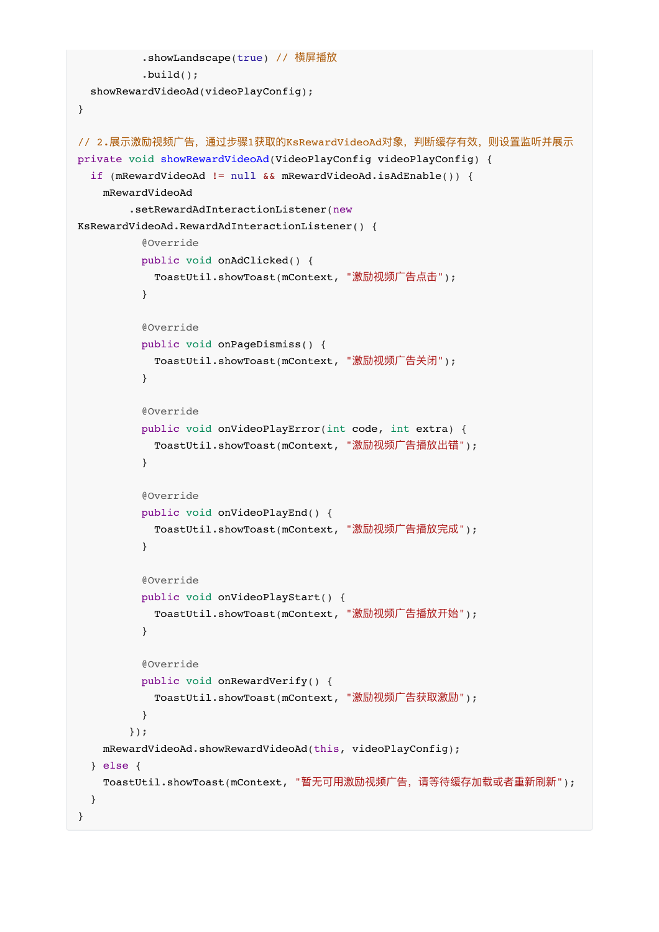```
 .showLandscape(true) // 横屏播放
          .build();
  showRewardVideoAd(videoPlayConfig);
}
// 2.展示激励视频广告,通过步骤1获取的KsRewardVideoAd对象,判断缓存有效,则设置监听并展示
private void showRewardVideoAd(VideoPlayConfig videoPlayConfig) {
 if (mRewardVideoAd != null \&\& mRewardVideoAd.isAdEnable()) {
    mRewardVideoAd
        .setRewardAdInteractionListener(new
KsRewardVideoAd.RewardAdInteractionListener() {
          @Override
          public void onAdClicked() {
           ToastUtil.showToast(mContext, "激励视频广告点击");
          }
          @Override
          public void onPageDismiss() {
            ToastUtil.showToast(mContext, "激励视频⼴告关闭");
          }
          @Override
          public void onVideoPlayError(int code, int extra) {
           ToastUtil.showToast(mContext, "激励视频广告播放出错");
          }
          @Override
          public void onVideoPlayEnd() {
           ToastUtil.showToast(mContext, "激励视频广告播放完成");
 }
          @Override
          public void onVideoPlayStart() {
           ToastUtil.showToast(mContext, "激励视频广告播放开始");
          }
          @Override
          public void onRewardVerify() {
           ToastUtil.showToast(mContext, "激励视频广告获取激励");
 }
        });
    mRewardVideoAd.showRewardVideoAd(this, videoPlayConfig);
  } else {
   ToastUtil.showToast(mContext, "暂无可用激励视频广告, 请等待缓存加载或者重新刷新");
  }
}
```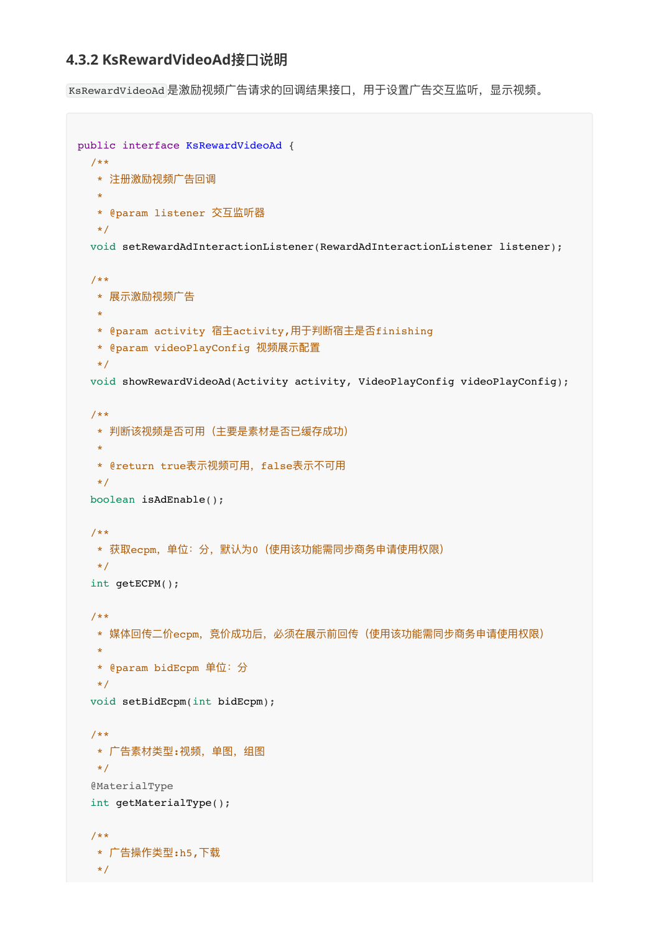#### **4.3.2 KsRewardVideoAd接⼝说明**

KsRewardVideoAd 是激励视频广告请求的回调结果接口,用于设置广告交互监听,显示视频。

```
public interface KsRewardVideoAd {
  /**
   * 注册激励视频⼴告回调
   *
   * @param listener 交互监听器
   */
  void setRewardAdInteractionListener(RewardAdInteractionListener listener);
  /**
  * 展示激励视频广告
\mathbf{r} * @param activity 宿主activity,⽤于判断宿主是否finishing
   * @param videoPlayConfig 视频展示配置
   */
  void showRewardVideoAd(Activity activity, VideoPlayConfig videoPlayConfig);
  /**
  * 判断该视频是否可用(主要是素材是否已缓存成功)
   *
  * @return true表示视频可用, false表示不可用
   */
  boolean isAdEnable();
  /**
  * 获取ecpm, 单位: 分, 默认为0 (使用该功能需同步商务申请使用权限)
   */
  int getECPM();
  /**
   * 媒体回传⼆价ecpm,竞价成功后,必须在展示前回传(使⽤该功能需同步商务申请使⽤权限)
   *
   * @param bidEcpm 单位:分
   */
  void setBidEcpm(int bidEcpm);
  /**
  * 广告素材类型:视频,单图,组图
   */
  @MaterialType
  int getMaterialType();
  /**
   * ⼴告操作类型:h5,下载
   */
```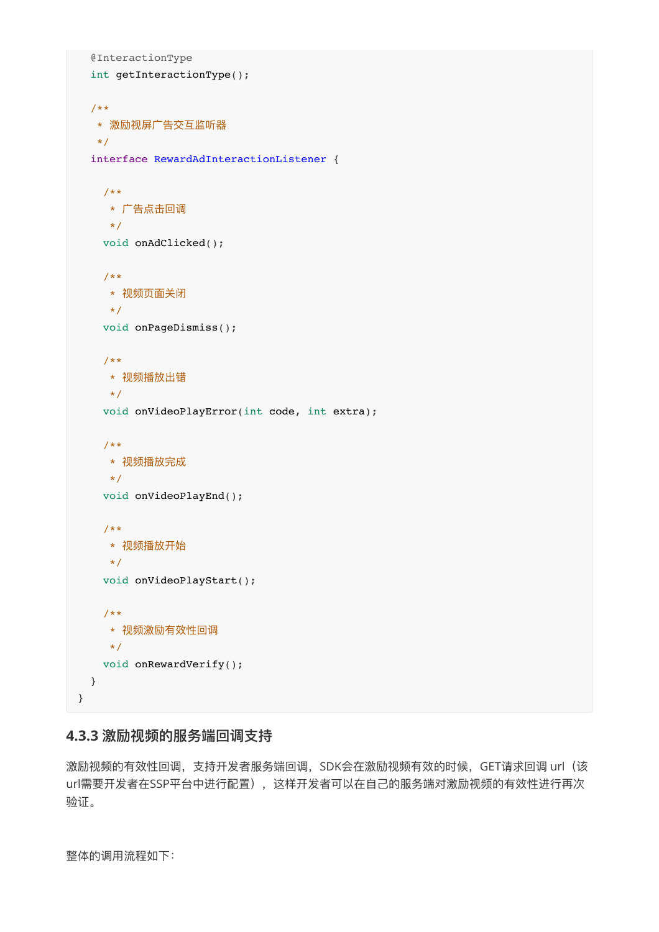```
 @InteractionType
   int getInteractionType();
   /**
   * 激励视屏⼴告交互监听器
  \star /
  interface RewardAdInteractionListener {
    /**
     * ⼴告点击回调
     */
    void onAdClicked();
    /**
     * 视频⻚⾯关闭
     */
    void onPageDismiss();
    /**
     * 视频播放出错
     */
    void onVideoPlayError(int code, int extra);
    /**
     * 视频播放完成
     */
    void onVideoPlayEnd();
    /**
     * 视频播放开始
    \star /
    void onVideoPlayStart();
     /**
     * 视频激励有效性回调
     */
    void onRewardVerify();
  }
}
```
#### <span id="page-14-0"></span>**4.3.3 激励视频的服务端回调⽀持**

激励视频的有效性回调, 支持开发者服务端回调, SDK会在激励视频有效的时候, GET请求回调 url (该 url需要开发者在SSP平台中进行配置), 这样开发者可以在自己的服务端对激励视频的有效性进行再次 验证。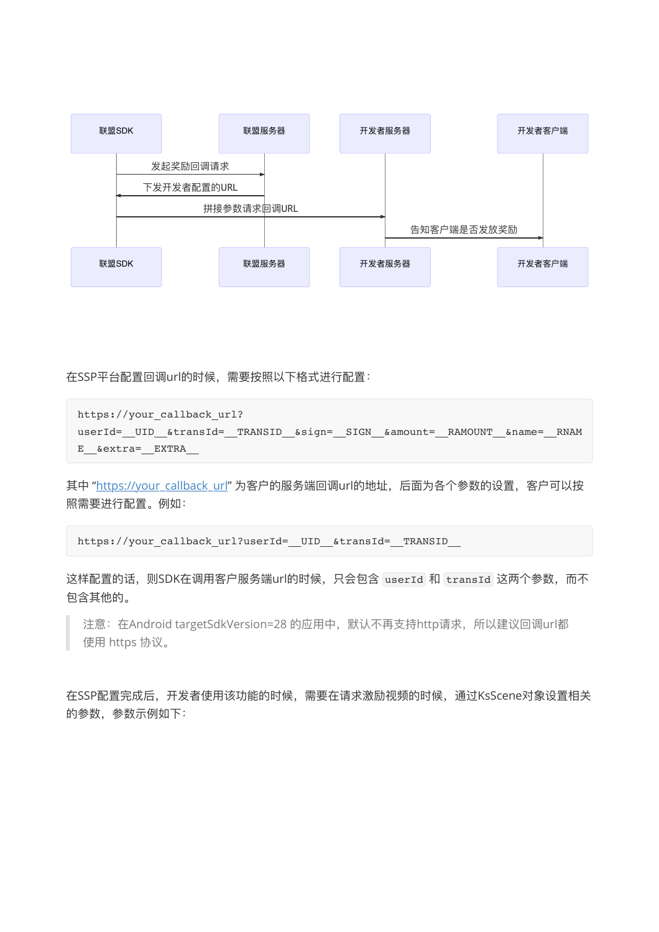

在SSP平台配置回调url的时候,需要按照以下格式进行配置:

```
https://your_callback_url?
userId=_ UID_&transId=__TRANSID__&sign=__SIGN__&amount=__RAMOUNT__&name=__RNAM
E__&extra=__EXTRA__
```
其中 "[https://your\\_callback\\_url"](https://your_callback_url/) 为客户的服务端回调url的地址, 后面为各个参数的设置, 客户可以按 照需要进行配置。例如:

```
https://your_callback_url?userId=__UID__&transId=__TRANSID
```
这样配置的话,则SDK在调用客户服务端url的时候,只会包含 userId 和 transId 这两个参数, 而不 包含其他的。

注意: 在Android targetSdkVersion=28 的应用中, 默认不再支持http请求, 所以建议回调url都 使⽤ https 协议。

在SSP配置完成后,开发者使用该功能的时候,需要在请求激励视频的时候,通过KsScene对象设置相关 的参数,参数示例如下: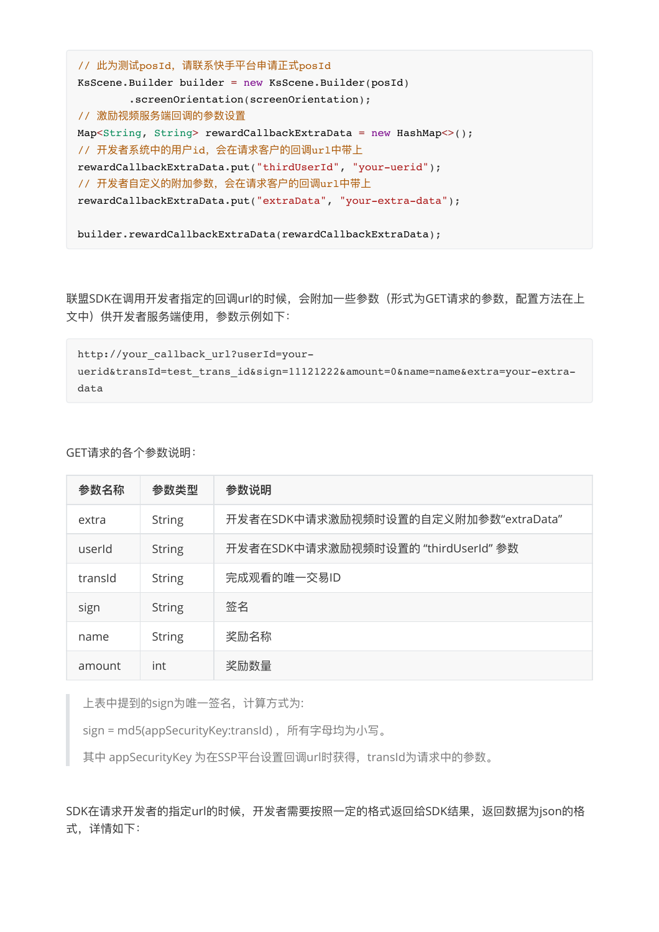```
// 此为测试posId, 请联系快手平台申请正式posId
KsScene.Builder builder = new KsScene.Builder(posId)
        .screenOrientation(screenOrientation);
// 激励视频服务端回调的参数设置
Map<String, String> rewardCallbackExtraData = new HashMap<>();
// 开发者系统中的⽤户id,会在请求客户的回调url中带上
rewardCallbackExtraData.put("thirdUserId", "your-uerid");
// 开发者⾃定义的附加参数,会在请求客户的回调url中带上
rewardCallbackExtraData.put("extraData", "your-extra-data");
builder.rewardCallbackExtraData(rewardCallbackExtraData);
```
联盟SDK在调用开发者指定的回调url的时候, 会附加一些参数 (形式为GET请求的参数, 配置方法在上 文中)供开发者服务端使用,参数示例如下:

```
http://your callback url?userId=your-
uerid&transId=test_trans_id&sign=11121222&amount=0&name=name&extra=your-extra-
data
```
GET请求的各个参数说明:

| 参数名称    | 参数类型          | 参数说明                                 |
|---------|---------------|--------------------------------------|
| extra   | <b>String</b> | 开发者在SDK中请求激励视频时设置的自定义附加参数"extraData" |
| userId  | <b>String</b> | 开发者在SDK中请求激励视频时设置的 "thirdUserId" 参数  |
| transld | <b>String</b> | 完成观看的唯一交易ID                          |
| sign    | <b>String</b> | 签名                                   |
| name    | <b>String</b> | 奖励名称                                 |
| amount  | int           | 奖励数量                                 |

上表中提到的sign为唯一签名, 计算方式为:

sign = md5(appSecurityKey:transId), 所有字母均为小写。

其中 appSecurityKey 为在SSP平台设置回调url时获得, transId为请求中的参数。

SDK在请求开发者的指定url的时候,开发者需要按照一定的格式返回给SDK结果,返回数据为json的格 式,详情如下: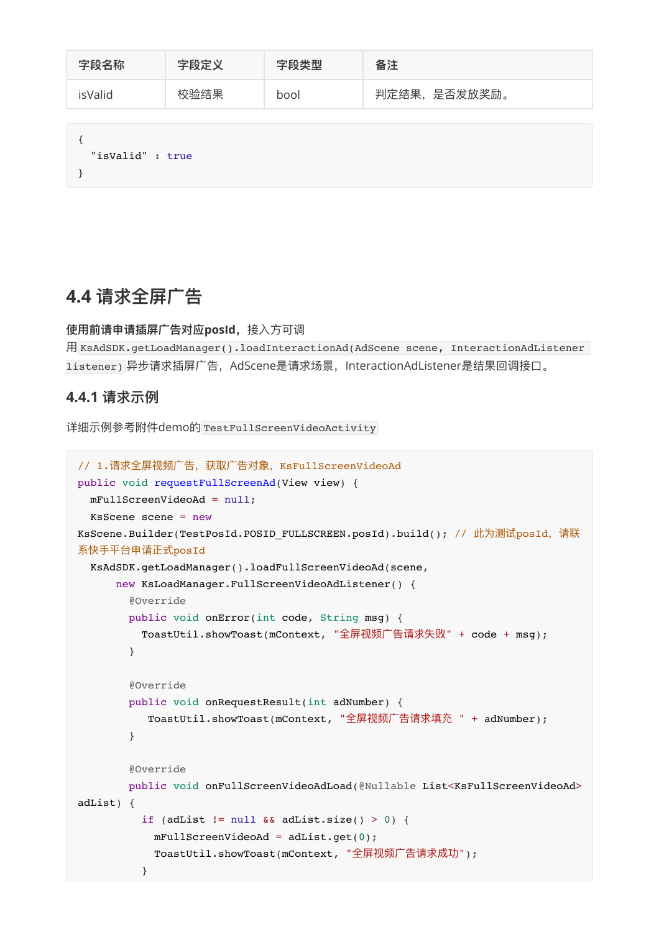| 字段名称             | 字段定义 | 字段类型 | 备注            |
|------------------|------|------|---------------|
| isValid          | 校验结果 | bool | 判定结果, 是否发放奖励。 |
| "isValid" : true |      |      |               |

### <span id="page-17-0"></span>**4.4 请求全屏⼴告**

**使⽤前请申请插屏⼴告对应posId,**接⼊⽅可调

```
⽤ KsAdSDK.getLoadManager().loadInteractionAd(AdScene scene, InteractionAdListener
listener) 异步请求插屏广告, AdScene是请求场景, InteractionAdListener是结果回调接口。
```
#### **4.4.1 请求示例**

详细示例参考附件demo的 TestFullScreenVideoActivity

```
// 1.请求全屏视频广告,获取广告对象, KsFullScreenVideoAd
public void requestFullScreenAd(View view) {
  mFullScreenVideoAd = null;
  KsScene scene = new
KsScene.Builder(TestPosId.POSID_FULLSCREEN.posId).build(); // 此为测试posId, 请联
系快手平台申请正式posId
   KsAdSDK.getLoadManager().loadFullScreenVideoAd(scene,
      new KsLoadManager.FullScreenVideoAdListener() {
        @Override
        public void onError(int code, String msg) {
         ToastUtil.showToast(mContext, "全屏视频广告请求失败" + code + msg);
        }
        @Override
        public void onRequestResult(int adNumber) {
          ToastUtil.showToast(mContext, "全屏视频广告请求填充 " + adNumber);
        }
        @Override
       public void onFullScreenVideoAdLoad(@Nullable List<KsFullScreenVideoAd>
adList) {
         if (adList != null &\& adList.size() > 0) {
           mFullScreenVideoAd = adList.get(0);ToastUtil.showToast(mContext, "全屏视频广告请求成功");
 }
```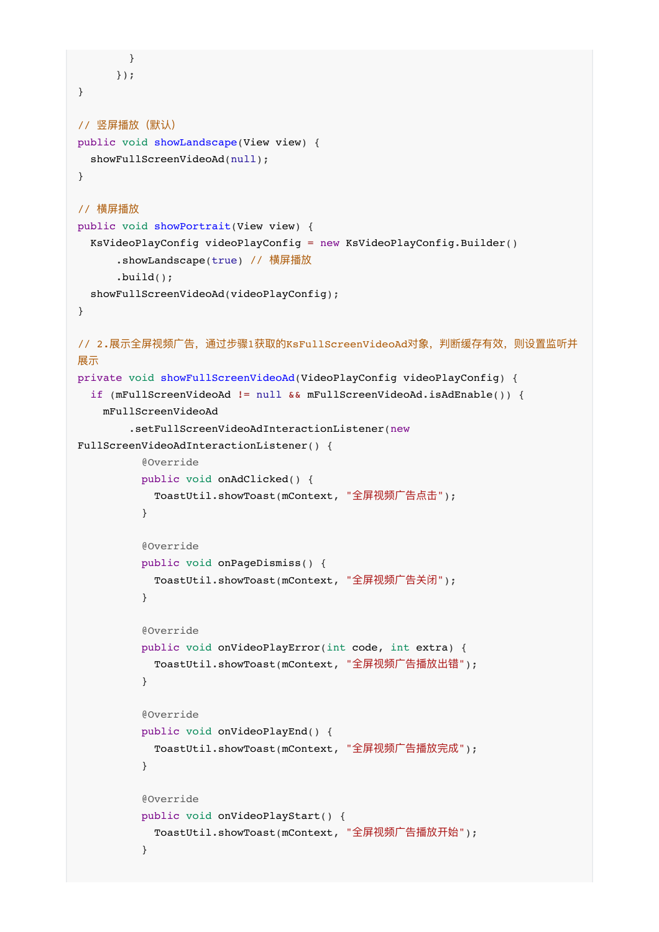```
 }
      });
}
// 竖屏播放(默认)
public void showLandscape(View view) {
  showFullScreenVideoAd(null);
}
// 横屏播放
public void showPortrait(View view) {
   KsVideoPlayConfig videoPlayConfig = new KsVideoPlayConfig.Builder()
       .showLandscape(true) // 横屏播放
       .build();
   showFullScreenVideoAd(videoPlayConfig);
}
// 2.展示全屏视频广告,通过步骤1获取的KsFullScreenVideoAd对象,判断缓存有效,则设置监听并
展示
private void showFullScreenVideoAd(VideoPlayConfig videoPlayConfig) {
  if (mFullScreenVideoAd != null && mFullScreenVideoAd.isAdEnable()) {
    mFullScreenVideoAd
         .setFullScreenVideoAdInteractionListener(new
FullScreenVideoAdInteractionListener() {
          @Override
          public void onAdClicked() {
           ToastUtil.showToast(mContext, "全屏视频广告点击");
          }
          @Override
          public void onPageDismiss() {
           ToastUtil.showToast(mContext, "全屏视频广告关闭");
          }
          @Override
          public void onVideoPlayError(int code, int extra) {
           ToastUtil.showToast(mContext, "全屏视频广告播放出错");
          }
          @Override
          public void onVideoPlayEnd() {
           ToastUtil.showToast(mContext, "全屏视频广告播放完成");
          }
          @Override
          public void onVideoPlayStart() {
           ToastUtil.showToast(mContext, "全屏视频广告播放开始");
          }
```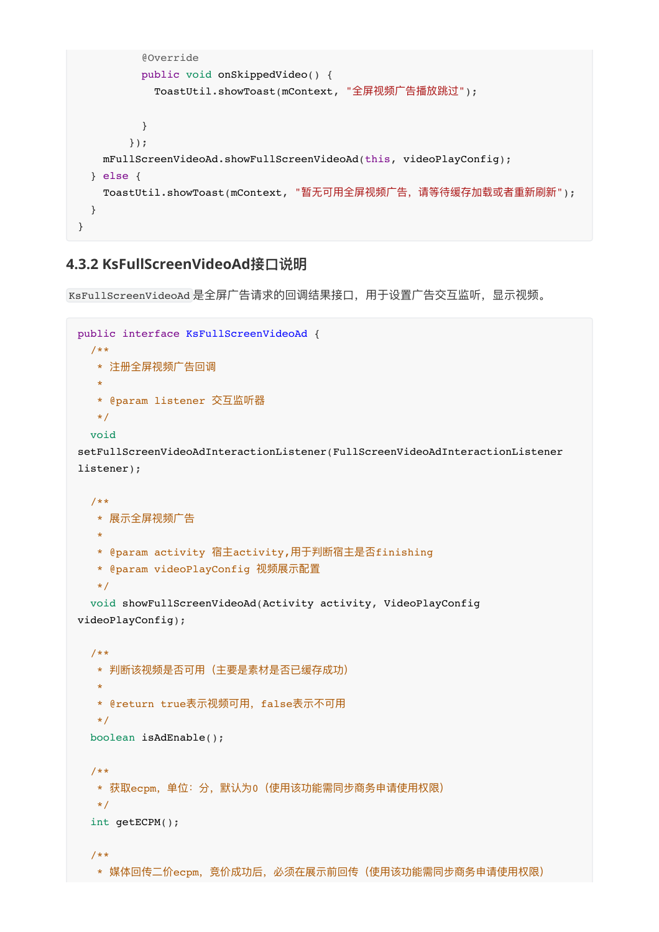```
 @Override
          public void onSkippedVideo() {
           ToastUtil.showToast(mContext, "全屏视频广告播放跳过");
          }
        });
    mFullScreenVideoAd.showFullScreenVideoAd(this, videoPlayConfig);
   } else {
   ToastUtil.showToast(mContext, "暂无可用全屏视频广告, 请等待缓存加载或者重新刷新");
  }
}
```
#### <span id="page-19-0"></span>**4.3.2 KsFullScreenVideoAd接⼝说明**

KsFullScreenVideoAd 是全屏广告请求的回调结果接口,用于设置广告交互监听,显示视频。

```
public interface KsFullScreenVideoAd {
  /**
  * 注册全屏视频广告回调
  **
   * @param listener 交互监听器
   */
  void
setFullScreenVideoAdInteractionListener(FullScreenVideoAdInteractionListener
listener);
  /**
  * 展示全屏视频广告
\mathbf{r} * @param activity 宿主activity,⽤于判断宿主是否finishing
   * @param videoPlayConfig 视频展示配置
   */
  void showFullScreenVideoAd(Activity activity, VideoPlayConfig
videoPlayConfig);
  /**
  * 判断该视频是否可用(主要是素材是否已缓存成功)
\mathbf{r}* @return true表示视频可用, false表示不可用
   */
  boolean isAdEnable();
  /**
  * 获取ecpm, 单位: 分, 默认为0 (使用该功能需同步商务申请使用权限)
   */
  int getECPM();
  /**
   * 媒体回传⼆价ecpm,竞价成功后,必须在展示前回传(使⽤该功能需同步商务申请使⽤权限)
```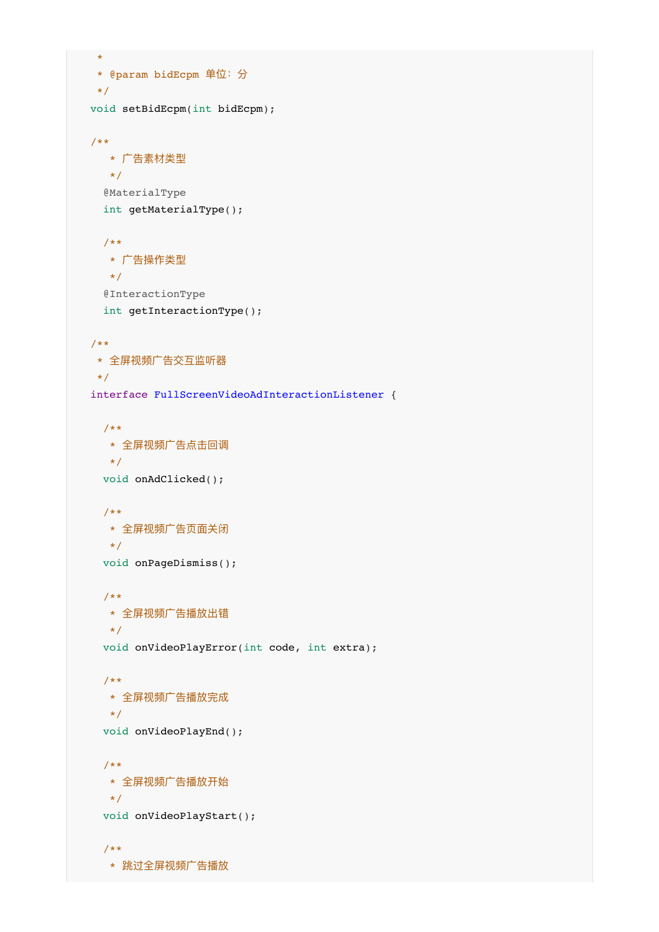```
\mathbf{r} * @param bidEcpm 单位:分
  \star /
  void setBidEcpm(int bidEcpm);
  /**
   * 广告素材类型
     */
    @MaterialType
    int getMaterialType();
    /**
    * ⼴告操作类型
     */
    @InteractionType
    int getInteractionType();
  /**
  * 全屏视频广告交互监听器
  \star /
  interface FullScreenVideoAdInteractionListener {
    /**
    * 全屏视频⼴告点击回调
     */
    void onAdClicked();
    /**
    * 全屏视频广告页面关闭
     */
    void onPageDismiss();
    /**
   * 全屏视频广告播放出错
     */
    void onVideoPlayError(int code, int extra);
    /**
     * 全屏视频⼴告播放完成
     */
    void onVideoPlayEnd();
    /**
    * 全屏视频广告播放开始
    \star /
    void onVideoPlayStart();
    /**
     * 跳过全屏视频⼴告播放
```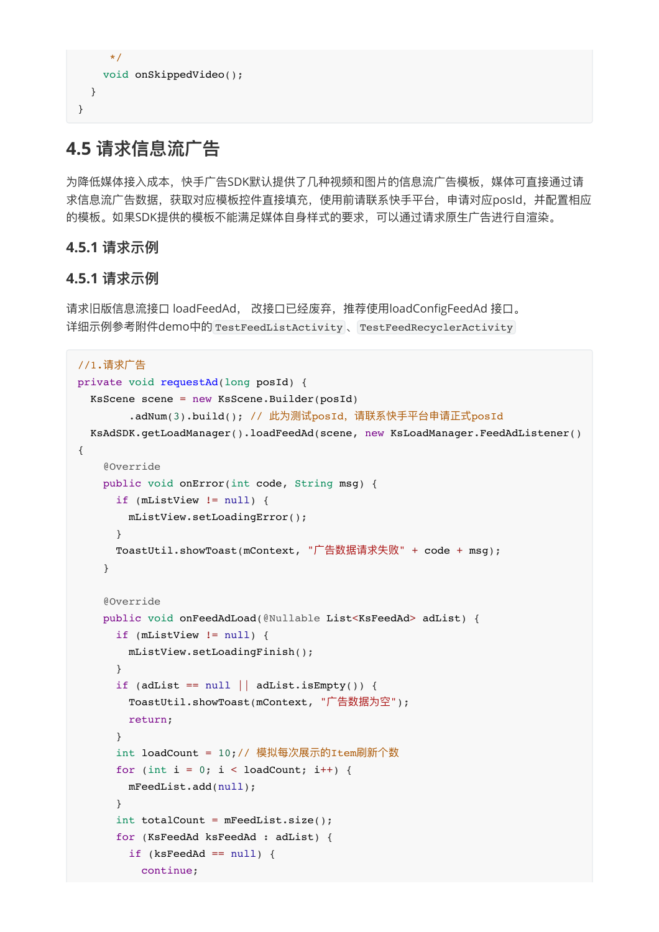```
\star/ void onSkippedVideo();
   }
}
```
# **4.5 请求信息流⼴告**

<span id="page-21-1"></span>为降低媒体接入成本,快手广告SDK默认提供了几种视频和图片的信息流广告模板,媒体可直接通过请 求信息流广告数据,获取对应模板控件直接填充,使用前请联系快手平台,申请对应posId,并配置相应 的模板。如果SDK提供的模板不能满⾜媒体⾃身样式的要求,可以通过请求原⽣⼴告进⾏⾃渲染。

#### **4.5.1 请求示例**

#### <span id="page-21-2"></span>**4.5.1 请求示例**

请求旧版信息流接口 loadFeedAd, 改接口已经废弃, 推荐使用loadConfigFeedAd 接口。 详细示例参考附件demo中的 TestFeedListActivity 、 TestFeedRecyclerActivity

```
//1.请求广告
private void requestAd(long posId) {
  KsScene scene = new KsScene.Builder(posId)
        .adNum(3).build(); // 此为测试posId, 请联系快手平台申请正式posId
  KsAdSDK.getLoadManager().loadFeedAd(scene, new KsLoadManager.FeedAdListener()
{
     @Override
     public void onError(int code, String msg) {
      if (mListView != null) {
         mListView.setLoadingError();
       }
      ToastUtil.showToast(mContext, "广告数据请求失败" + code + msg);
     }
     @Override
     public void onFeedAdLoad(@Nullable List<KsFeedAd> adList) {
       if (mListView != null) {
         mListView.setLoadingFinish();
       }
      if (adList == null || addList.isEmpty()) {
        ToastUtil.showToast(mContext, "广告数据为空");
        return;
       }
       int loadCount = 10;// 模拟每次展示的Item刷新个数
      for (int i = 0; i < loadCount; i++) {
         mFeedList.add(null);
       }
       int totalCount = mFeedList.size();
       for (KsFeedAd ksFeedAd : adList) {
       if (ksFeedAd == null) {
           continue;
```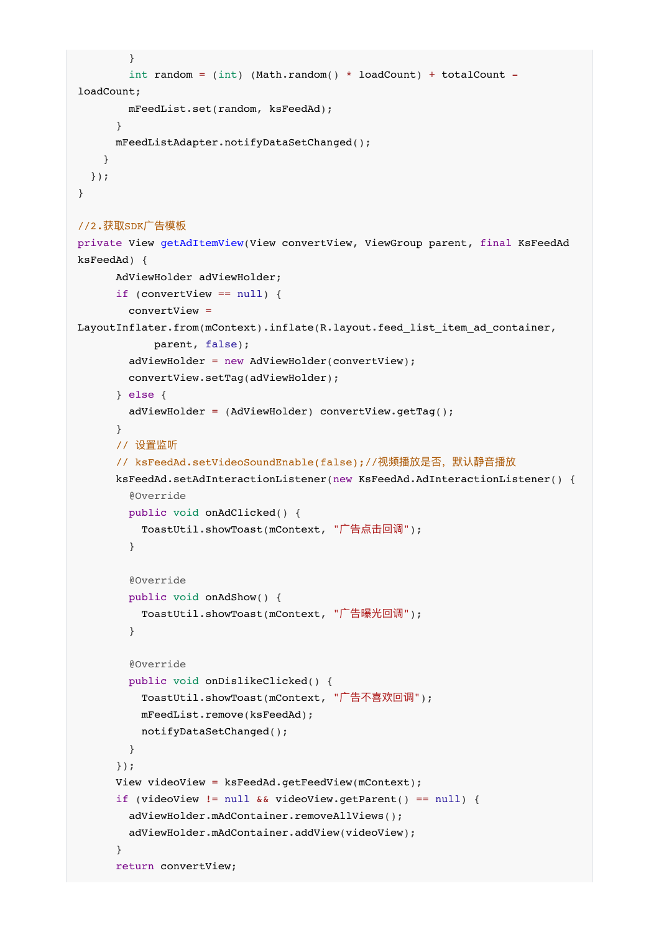```
 }
        int random = (int) (Math.random() * loadCount) + totalCount -
loadCount;
         mFeedList.set(random, ksFeedAd);
       }
      mFeedListAdapter.notifyDataSetChanged();
     }
  });
}
//2.获取SDK广告模板
private View getAdItemView(View convertView, ViewGroup parent, final KsFeedAd
ksFeedAd) {
      AdViewHolder adViewHolder;
       if (convertView == null) {
         convertView =
LayoutInflater.from(mContext).inflate(R.layout.feed list item ad container,
             parent, false);
         adViewHolder = new AdViewHolder(convertView);
         convertView.setTag(adViewHolder);
       } else {
         adViewHolder = (AdViewHolder) convertView.getTag();
       }
       // 设置监听
      // ksFeedAd.setVideoSoundEnable(false);//视频播放是否,默认静音播放
       ksFeedAd.setAdInteractionListener(new KsFeedAd.AdInteractionListener() {
         @Override
         public void onAdClicked() {
          ToastUtil.showToast(mContext, "广告点击回调");
         }
         @Override
         public void onAdShow() {
          ToastUtil.showToast(mContext, "广告曝光回调");
         }
         @Override
         public void onDislikeClicked() {
          ToastUtil.showToast(mContext, "广告不喜欢回调");
           mFeedList.remove(ksFeedAd);
           notifyDataSetChanged();
         }
       });
       View videoView = ksFeedAd.getFeedView(mContext);
       if (videoView != null && videoView.getParent() == null) {
         adViewHolder.mAdContainer.removeAllViews();
         adViewHolder.mAdContainer.addView(videoView);
       }
       return convertView;
```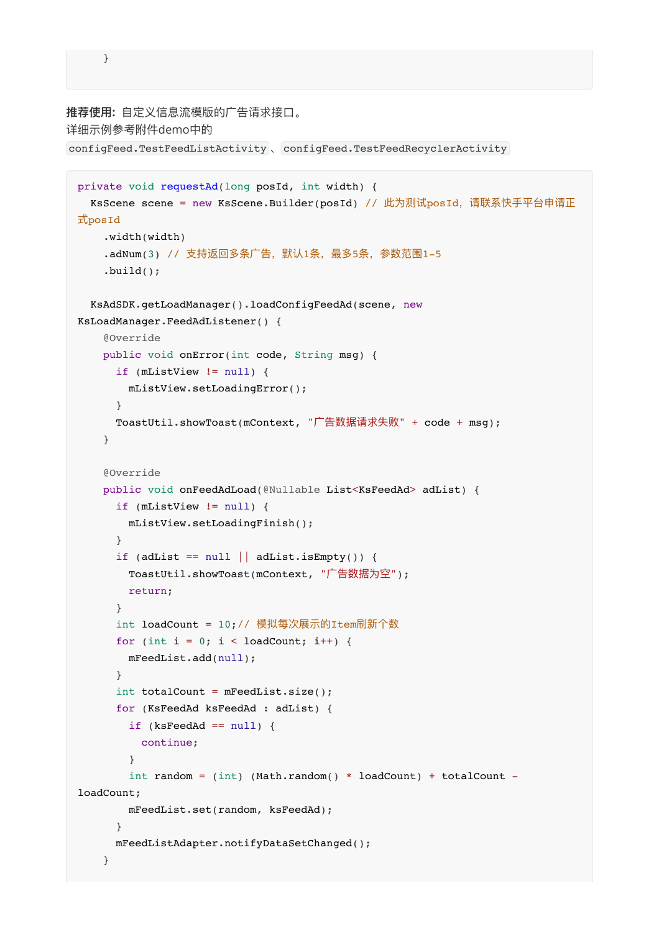```
 }
```

```
推荐使⽤: ⾃定义信息流模版的⼴告请求接⼝。
详细示例参考附件demo中的
configFeed.TestFeedListActivity 、 configFeed.TestFeedRecyclerActivity
 private void requestAd(long posId, int width) {
   KsScene scene = new KsScene.Builder(posId) // 此为测试posId, 请联系快手平台申请正
 式posId
      .width(width)
     .adNum(3) // 支持返回多条广告, 默认1条, 最多5条, 参数范围1-5
     .build();
    KsAdSDK.getLoadManager().loadConfigFeedAd(scene, new
 KsLoadManager.FeedAdListener() {
      @Override
      public void onError(int code, String msg) {
        if (mListView != null) {
          mListView.setLoadingError();
        }
       ToastUtil.showToast(mContext, "广告数据请求失败" + code + msg);
      }
      @Override
      public void onFeedAdLoad(@Nullable List<KsFeedAd> adList) {
        if (mListView != null) {
          mListView.setLoadingFinish();
        }
       if (adList == null || addList.isEmpty()) {
         ToastUtil.showToast(mContext, "广告数据为空");
          return;
        }
        int loadCount = 10;// 模拟每次展示的Item刷新个数
       for (int i = 0; i < loadCount; i++) {
          mFeedList.add(null);
        }
        int totalCount = mFeedList.size();
        for (KsFeedAd ksFeedAd : adList) {
         if (ksFeedAd == null) {
            continue;
          }
         int random = (int) (Math.random() * loadCount) + totalCount -
 loadCount;
          mFeedList.set(random, ksFeedAd);
        }
        mFeedListAdapter.notifyDataSetChanged();
      }
```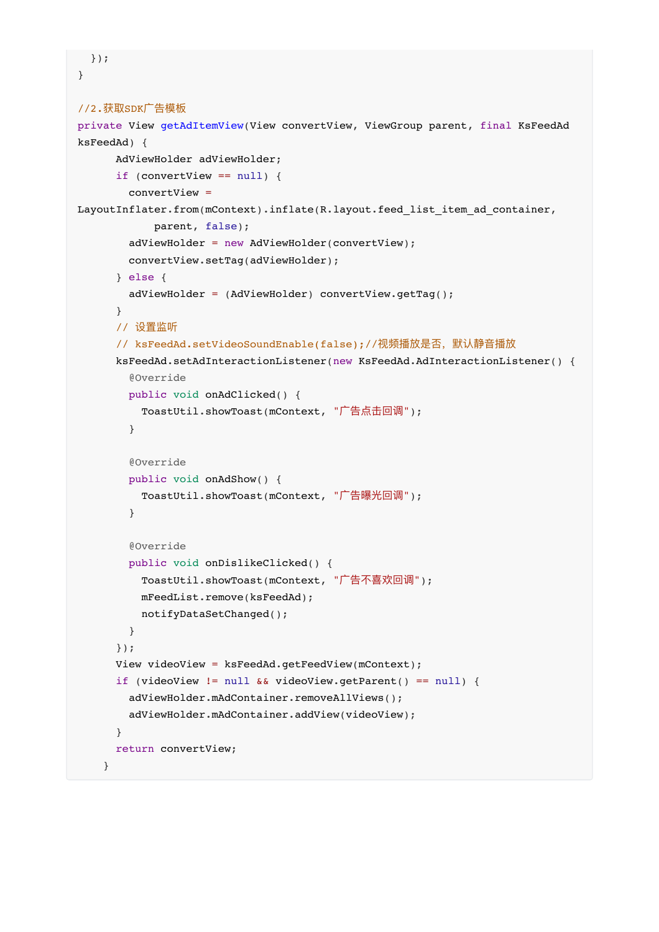```
}
//2.获取SDK⼴告模板
private View getAdItemView(View convertView, ViewGroup parent, final KsFeedAd
ksFeedAd) {
      AdViewHolder adViewHolder;
      if (convertView == null) {
         convertView =
LayoutInflater.from(mContext).inflate(R.layout.feed_list_item_ad_container,
             parent, false);
         adViewHolder = new AdViewHolder(convertView);
         convertView.setTag(adViewHolder);
       } else {
         adViewHolder = (AdViewHolder) convertView.getTag();
       }
       // 设置监听
      // ksFeedAd.setVideoSoundEnable(false);//视频播放是否,默认静音播放
       ksFeedAd.setAdInteractionListener(new KsFeedAd.AdInteractionListener() {
         @Override
         public void onAdClicked() {
          ToastUtil.showToast(mContext, "广告点击回调");
         }
         @Override
         public void onAdShow() {
          ToastUtil.showToast(mContext, "广告曝光回调");
         }
         @Override
         public void onDislikeClicked() {
          ToastUtil.showToast(mContext, "广告不喜欢回调");
           mFeedList.remove(ksFeedAd);
           notifyDataSetChanged();
         }
       });
       View videoView = ksFeedAd.getFeedView(mContext);
       if (videoView != null && videoView.getParent() == null) {
         adViewHolder.mAdContainer.removeAllViews();
         adViewHolder.mAdContainer.addView(videoView);
       }
       return convertView;
     }
```
});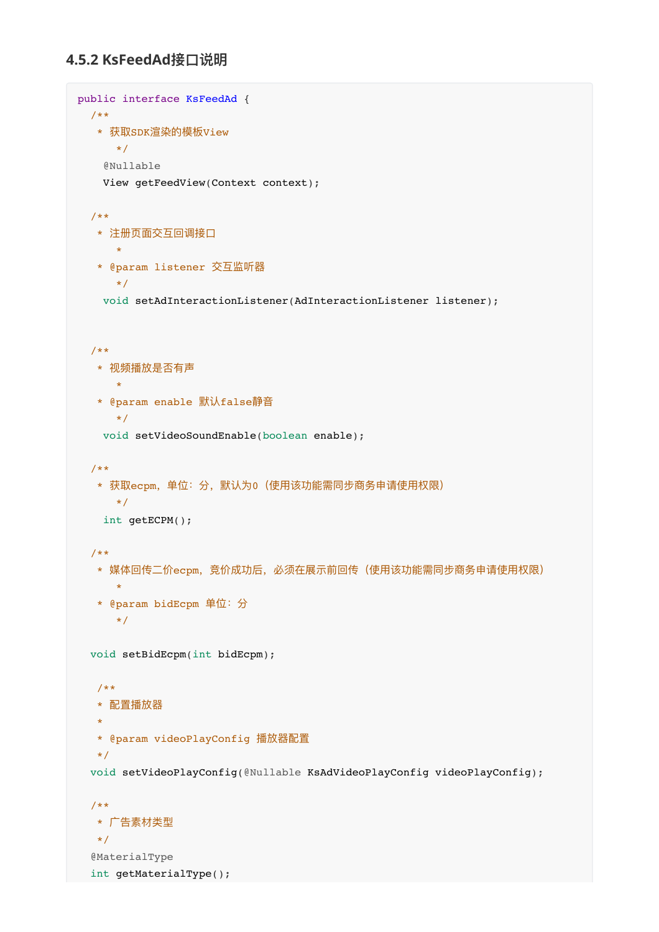### **4.5.2 KsFeedAd接⼝说明**

```
public interface KsFeedAd {
  /**
   * 获取SDK渲染的模板View
      */
    @Nullable
    View getFeedView(Context context);
  /**
  * 注册页面交互回调接口
      *
   * @param listener 交互监听器
      */
    void setAdInteractionListener(AdInteractionListener listener);
  /**
   * 视频播放是否有声
      *
  * @param enable 默认false静音
      */
    void setVideoSoundEnable(boolean enable);
  /**
  * 获取ecpm, 单位: 分, 默认为0 (使用该功能需同步商务申请使用权限)
      */
    int getECPM();
  /**
  * 媒体回传二价ecpm, 竞价成功后, 必须在展示前回传(使用该功能需同步商务申请使用权限)
      *
   * @param bidEcpm 单位:分
      */
  void setBidEcpm(int bidEcpm);
   /**
   * 配置播放器
   *
   * @param videoPlayConfig 播放器配置
   */
  void setVideoPlayConfig(@Nullable KsAdVideoPlayConfig videoPlayConfig);
  /**
   * ⼴告素材类型
   */
  @MaterialType
  int getMaterialType();
```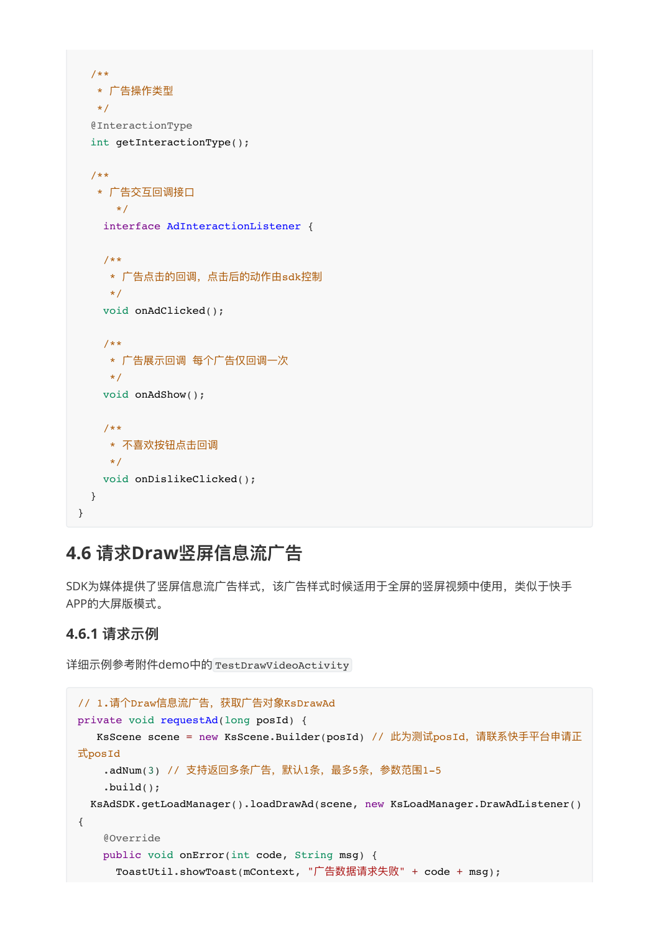```
 /**
   * ⼴告操作类型
   */
   @InteractionType
   int getInteractionType();
   /**
    * ⼴告交互回调接⼝
      */
    interface AdInteractionListener {
    /**
     * ⼴告点击的回调,点击后的动作由sdk控制
     */
    void onAdClicked();
    /**
    * 广告展示回调 每个广告仅回调一次
     */
    void onAdShow();
    /**
     * 不喜欢按钮点击回调
     */
   void onDislikeClicked();
   }
}
```
### <span id="page-26-0"></span>**4.6 请求Draw竖屏信息流⼴告**

<span id="page-26-1"></span>SDK为媒体提供了竖屏信息流广告样式,该广告样式时候适用于全屏的竖屏视频中使用,类似于快手 APP的⼤屏版模式。

#### **4.6.1 请求示例**

详细示例参考附件demo中的 TestDrawVideoActivity

```
// 1.请个Draw信息流广告,获取广告对象KsDrawAd
private void requestAd(long posId) {
  KsScene scene = new KsScene.Builder(posId) // 此为测试posId, 请联系快手平台申请正
式posId
   .adNum(3) // 支持返回多条广告, 默认1条, 最多5条, 参数范围1-5
    .build(); 
  KsAdSDK.getLoadManager().loadDrawAd(scene, new KsLoadManager.DrawAdListener()
{
    @Override
    public void onError(int code, String msg) {
     ToastUtil.showToast(mContext, "广告数据请求失败" + code + msg);
```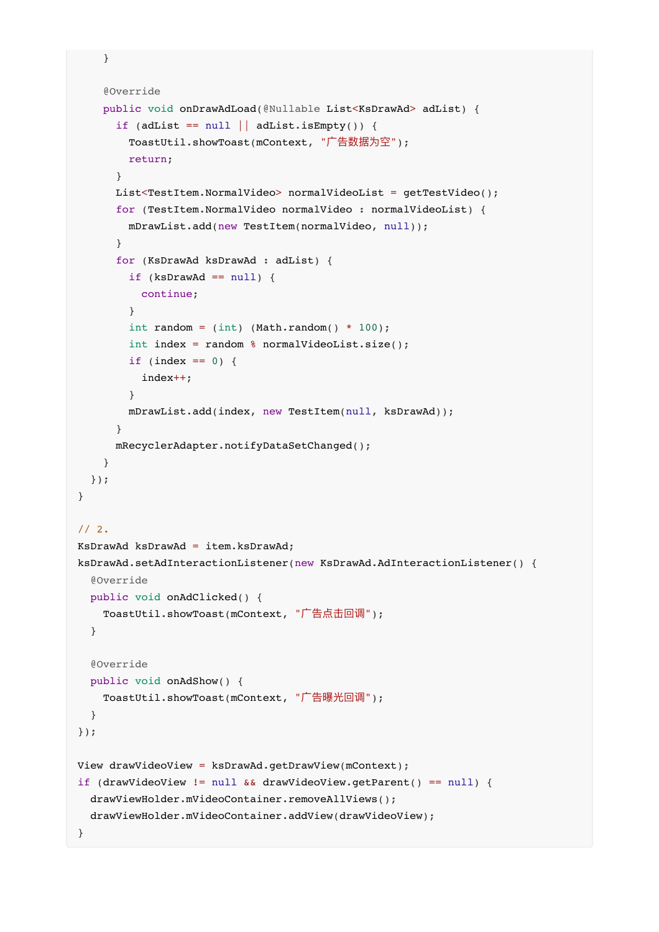```
 @Override
     public void onDrawAdLoad(@Nullable List<KsDrawAd> adList) {
      if (adList == null | adList.isEmpty()) {
        ToastUtil.showToast(mContext, "广告数据为空");
        return;
       }
      List<TestItem.NormalVideo> normalVideoList = qetTestVideo();
       for (TestItem.NormalVideo normalVideo : normalVideoList) {
         mDrawList.add(new TestItem(normalVideo, null));
       }
       for (KsDrawAd ksDrawAd : adList) {
        if (ksDrawAd == null) {
           continue;
         }
        int random = (int) (Math.random() * 100);
         int index = random % normalVideoList.size();
        if (index == 0) {
           index++;
         }
         mDrawList.add(index, new TestItem(null, ksDrawAd));
       }
       mRecyclerAdapter.notifyDataSetChanged();
     }
   });
}
// 2.
KsDrawAd ksDrawAd = item.ksDrawAd;
ksDrawAd.setAdInteractionListener(new KsDrawAd.AdInteractionListener() { 
   @Override 
   public void onAdClicked() { 
    ToastUtil.showToast(mContext, "广告点击回调");
   }
   @Override 
  public void onAdShow() { 
    ToastUtil.showToast(mContext, "广告曝光回调");
   }
});
View drawVideoView = ksDrawAd.getDrawView(mContext);
if (drawVideoView != null && drawVideoView.getParent() == null) { 
   drawViewHolder.mVideoContainer.removeAllViews(); 
   drawViewHolder.mVideoContainer.addView(drawVideoView); 
}
```
}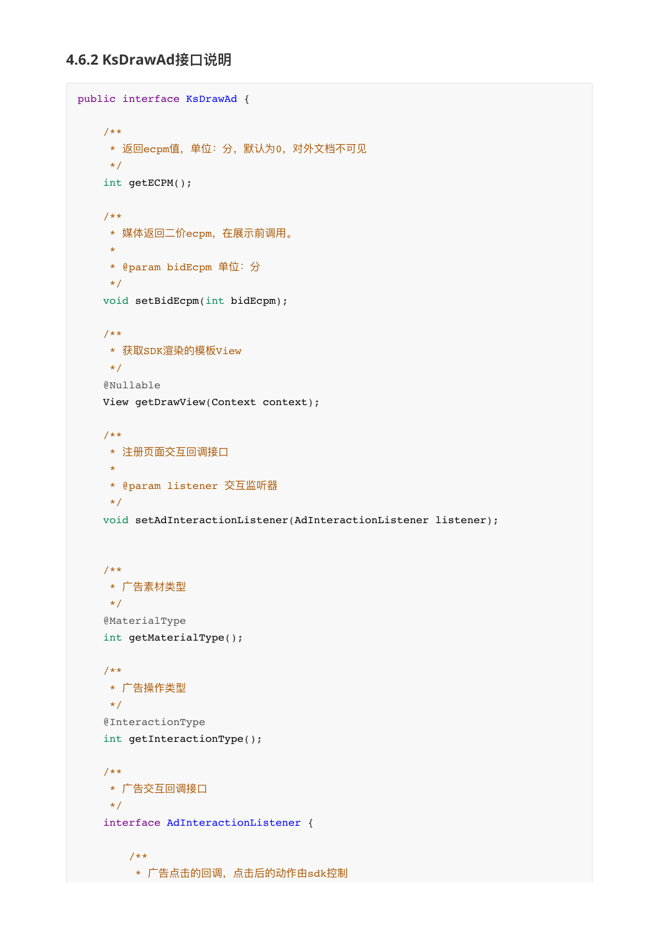```
public interface KsDrawAd {
    /**
    * 返回ecpm值,单位:分,默认为0,对外文档不可见
     */
    int getECPM();
    /**
    * 媒体返回二价ecpm, 在展示前调用。
     *
     * @param bidEcpm 单位:分
     */
    void setBidEcpm(int bidEcpm);
    /**
     * 获取SDK渲染的模板View
     */
    @Nullable
    View getDrawView(Context context);
    /**
    * 注册页面交互回调接口
     *
     * @param listener 交互监听器
     */
    void setAdInteractionListener(AdInteractionListener listener);
    /**
     * ⼴告素材类型
     */
     @MaterialType
    int getMaterialType();
     /**
     * ⼴告操作类型
     */
     @InteractionType
    int getInteractionType();
    /**
    * 广告交互回调接口
    \star /
    interface AdInteractionListener {
        /**
         * ⼴告点击的回调,点击后的动作由sdk控制
```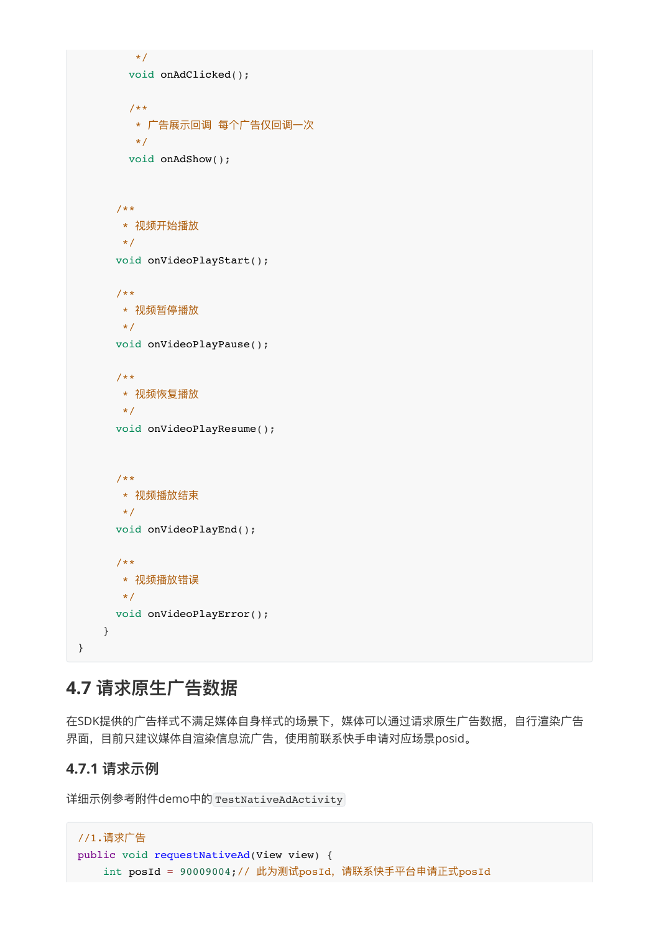```
 */
     void onAdClicked();
     /**
     * 广告展示回调 每个广告仅回调一次
      */
     void onAdShow();
   /**
   * 视频开始播放
    */
   void onVideoPlayStart();
   /**
   * 视频暂停播放
  \star /
   void onVideoPlayPause();
   /**
   * 视频恢复播放
  \star /
   void onVideoPlayResume();
   /**
   * 视频播放结束
   */
   void onVideoPlayEnd();
   /**
   * 视频播放错误
   */
   void onVideoPlayError();
 }
```
### **4.7 请求原⽣⼴告数据**

在SDK提供的广告样式不满足媒体自身样式的场景下,媒体可以通过请求原生广告数据,自行渲染广告 界面,目前只建议媒体自渲染信息流广告,使用前联系快手申请对应场景posid。

#### **4.7.1 请求示例**

<span id="page-29-1"></span><span id="page-29-0"></span>}

详细示例参考附件demo中的 TestNativeAdActivity

```
//1.请求⼴告
public void requestNativeAd(View view) {
   int posId = 90009004;// 此为测试posId, 请联系快手平台申请正式posId
```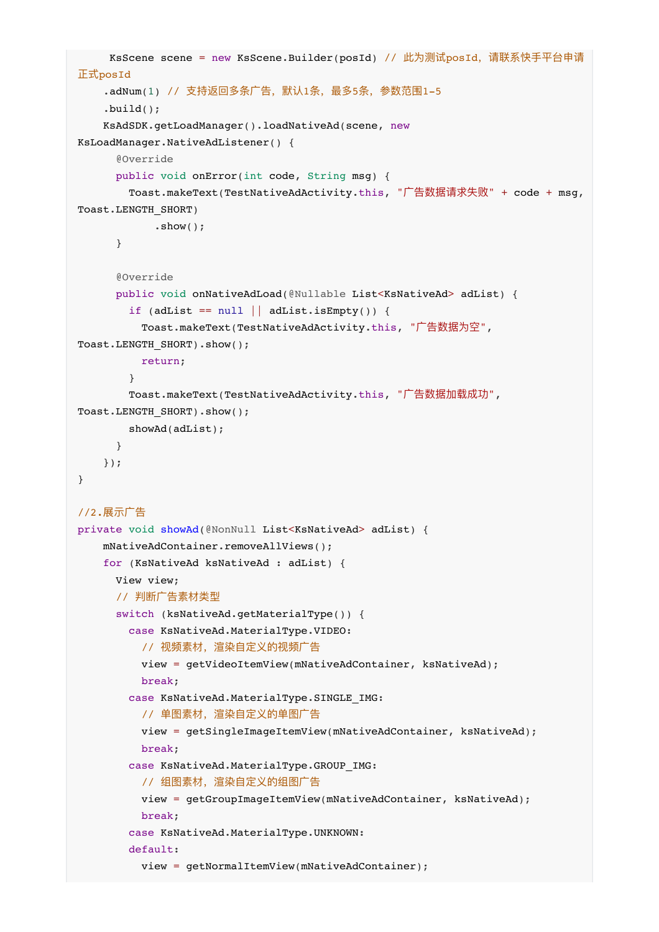```
KsScene scene = new KsScene.Builder(posId) // 此为测试posId, 请联系快手平台申请
正式posId
    .adNum(1) // 支持返回多条广告, 默认1条, 最多5条, 参数范围1-5
     .build();
     KsAdSDK.getLoadManager().loadNativeAd(scene, new
KsLoadManager.NativeAdListener() {
       @Override
      public void onError(int code, String msg) {
       Toast.makeText(TestNativeAdActivity.this, "广告数据请求失败" + code + msg,
Toast.LENGTH_SHORT)
            .show();
       }
       @Override
     public void onNativeAdLoad(@Nullable List<KsNativeAd> adList) {
        if (adList == null || addList.isEmpty()) {
          Toast.makeText(TestNativeAdActivity.this, "⼴告数据为空",
Toast.LENGTH_SHORT).show();
          return;
 }
       Toast.makeText(TestNativeAdActivity.this, "广告数据加载成功",
Toast.LENGTH_SHORT).show();
        showAd(adList);
      }
    });
}
//2.展示⼴告
private void showAd(@NonNull List<KsNativeAd> adList) {
    mNativeAdContainer.removeAllViews();
    for (KsNativeAd ksNativeAd : adList) {
      View view;
      // 判断广告素材类型
      switch (ksNativeAd.getMaterialType()) {
        case KsNativeAd.MaterialType.VIDEO:
          // 视频素材,渲染自定义的视频广告
          view = getVideoItemView(mNativeAdContainer, ksNativeAd);
          break;
        case KsNativeAd.MaterialType.SINGLE_IMG:
         // 单图素材, 渲染自定义的单图广告
          view = getSingleImageItemView(mNativeAdContainer, ksNativeAd);
          break;
        case KsNativeAd.MaterialType.GROUP_IMG:
         // 组图素材, 渲染自定义的组图广告
          view = getGroupImageItemView(mNativeAdContainer, ksNativeAd);
          break;
        case KsNativeAd.MaterialType.UNKNOWN:
        default:
          view = getNormalItemView(mNativeAdContainer);
```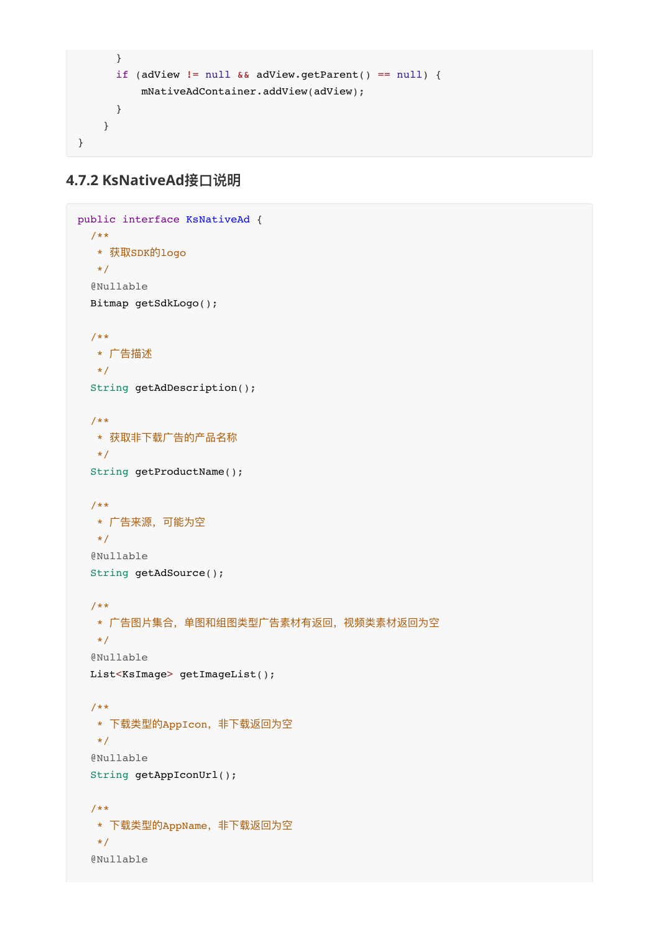```
 }
      if (adView != null && adView.getParent() == null) {
           mNativeAdContainer.addView(adView);
       }
     }
}
```

```
4.7.2 KsNativeAd接⼝说明
```

```
public interface KsNativeAd {
  /**
   * 获取SDK的logo
   */
  @Nullable
  Bitmap getSdkLogo();
  /**
   * ⼴告描述
   */
   String getAdDescription();
   /**
  * 获取非下载广告的产品名称
   */
  String getProductName();
   /**
   * ⼴告来源,可能为空
   */
   @Nullable
  String getAdSource();
   /**
  * 广告图片集合, 单图和组图类型广告素材有返回, 视频类素材返回为空
   */
   @Nullable
  List<KsImage> getImageList();
   /**
   * 下载类型的AppIcon,⾮下载返回为空
  \star/ @Nullable
   String getAppIconUrl();
   /**
   * 下载类型的AppName,⾮下载返回为空
   */
   @Nullable
```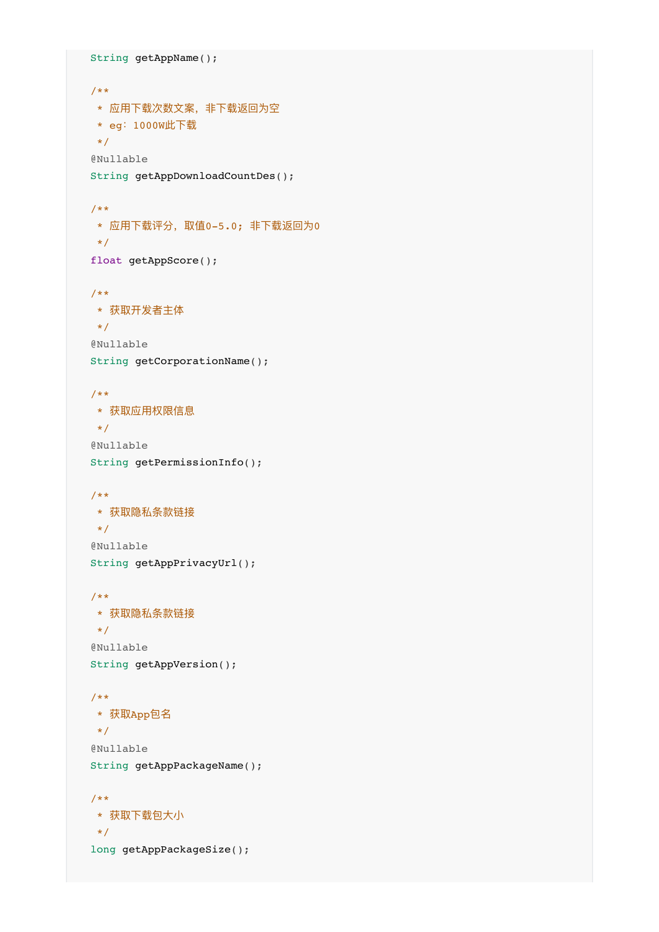```
 String getAppName();
 /**
* 应用下载次数文案, 非下载返回为空
 * eg:1000W此下载
\star /
 @Nullable
 String getAppDownloadCountDes();
 /**
* 应用下载评分,取值0-5.0; 非下载返回为0
 */
 float getAppScore();
 /**
 * 获取开发者主体
 */
 @Nullable
 String getCorporationName();
 /**
 * 获取应⽤权限信息
\star/ @Nullable
 String getPermissionInfo();
 /**
 * 获取隐私条款链接
\star/ @Nullable
 String getAppPrivacyUrl();
 /**
 * 获取隐私条款链接
\star/ @Nullable
 String getAppVersion();
 /**
 * 获取App包名
 */
 @Nullable
 String getAppPackageName();
 /**
 * 获取下载包⼤⼩
 */
long getAppPackageSize();
```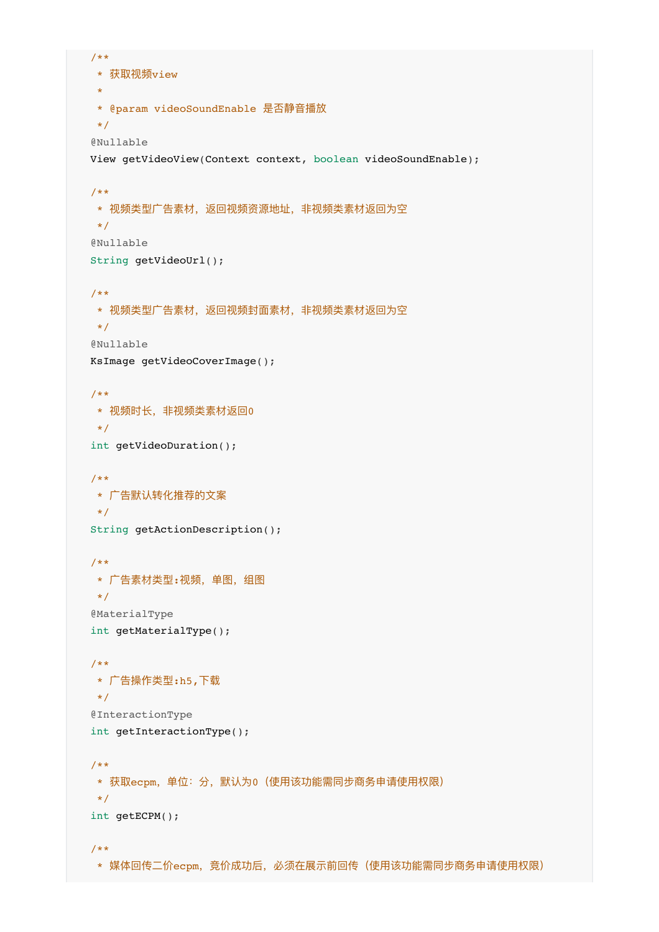```
 /**
 * 获取视频view
\star * @param videoSoundEnable 是否静⾳播放
 */
 @Nullable
 View getVideoView(Context context, boolean videoSoundEnable);
 /**
* 视频类型广告素材,返回视频资源地址,非视频类素材返回为空
 */
 @Nullable
 String getVideoUrl();
 /**
* 视频类型广告素材, 返回视频封面素材, 非视频类素材返回为空
 */
 @Nullable
 KsImage getVideoCoverImage();
 /**
* 视频时长, 非视频类素材返回0
 */
 int getVideoDuration();
 /**
* 广告默认转化推荐的文案
 */
 String getActionDescription();
 /**
* 广告素材类型:视频,单图,组图
 */
 @MaterialType
 int getMaterialType();
 /**
* 广告操作类型:h5,下载
 */
 @InteractionType
 int getInteractionType();
 /**
* 获取ecpm,单位:分,默认为0 (使用该功能需同步商务申请使用权限)
 */
 int getECPM();
 /**
* 媒体回传二价ecpm, 竞价成功后, 必须在展示前回传(使用该功能需同步商务申请使用权限)
```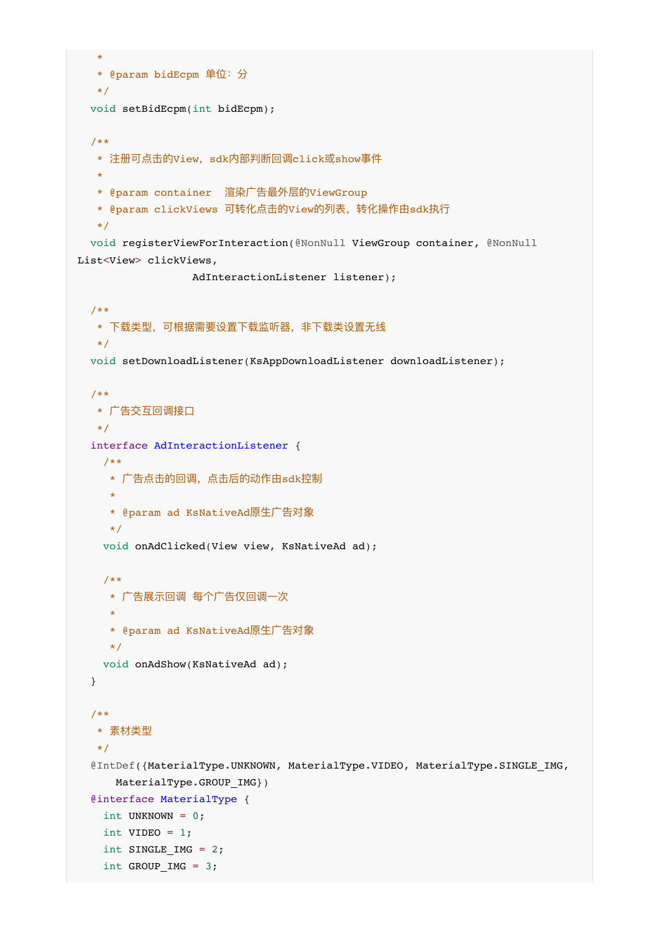```
\mathbf{r} * @param bidEcpm 单位:分
   */
  void setBidEcpm(int bidEcpm);
   /**
   * 注册可点击的View,sdk内部判断回调click或show事件
   *
   * @param container 渲染⼴告最外层的ViewGroup
  * @param clickViews 可转化点击的View的列表, 转化操作由sdk执行
   */
  void registerViewForInteraction(@NonNull ViewGroup container, @NonNull
List<View> clickViews,
                  AdInteractionListener listener);
   /**
  * 下载类型, 可根据需要设置下载监听器, 非下载类设置无线
   */
  void setDownloadListener(KsAppDownloadListener downloadListener);
   /**
  * 广告交互回调接口
   */
  interface AdInteractionListener {
    /**
     * ⼴告点击的回调,点击后的动作由sdk控制
     *
     * @param ad KsNativeAd原⽣⼴告对象
     */
    void onAdClicked(View view, KsNativeAd ad);
    /**
    * 广告展示回调 每个广告仅回调一次
 *
     * @param ad KsNativeAd原⽣⼴告对象
     */
   void onAdShow(KsNativeAd ad);
   }
   /**
   * 素材类型
   */
   @IntDef({MaterialType.UNKNOWN, MaterialType.VIDEO, MaterialType.SINGLE_IMG,
     MaterialType.GROUP IMG})
   @interface MaterialType {
   int UNKNOWN = 0;int VIDEO = 1;
   int SINGLE IMG = 2;
   int GROUP IMG = 3;
```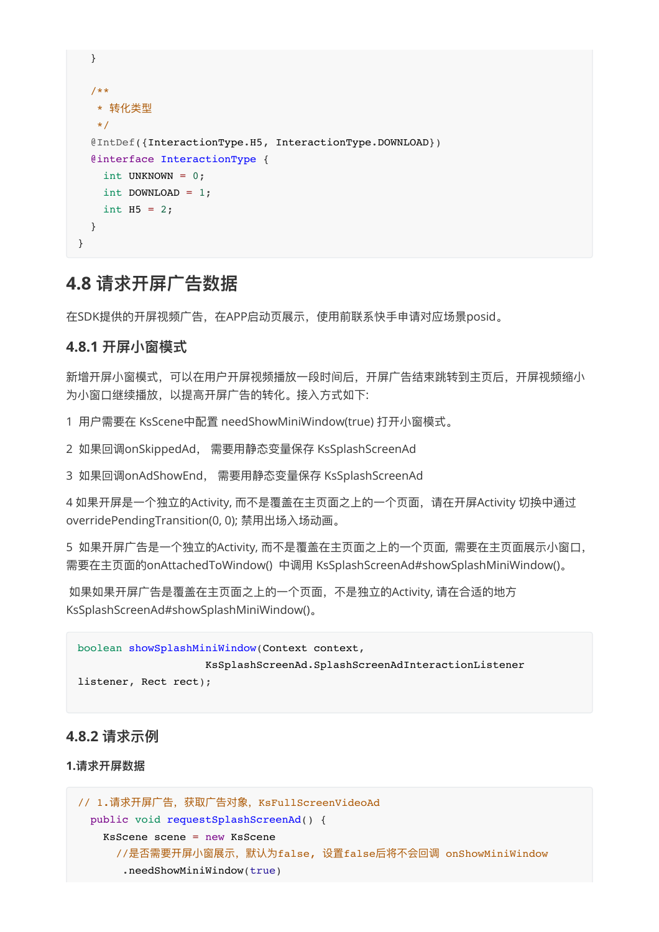```
 }
   /**
    * 转化类型
    */
   @IntDef({InteractionType.H5, InteractionType.DOWNLOAD})
   @interface InteractionType {
     int UNKNOWN = 0;
     int DOWNLOAD = 1;
    int H5 = 2; }
}
```
### <span id="page-35-0"></span>**4.8 请求开屏⼴告数据**

<span id="page-35-1"></span>在SDK提供的开屏视频⼴告,在APP启动⻚展示,使⽤前联系快⼿申请对应场景posid。

#### **4.8.1 开屏⼩窗模式**

新增开屏小窗模式,可以在用户开屏视频播放一段时间后,开屏广告结束跳转到主页后,开屏视频缩小 为小窗口继续播放, 以提高开屏广告的转化。接入方式如下:

1 用户需要在 KsScene中配置 needShowMiniWindow(true) 打开小窗模式。

2 如果回调onSkippedAd, 需要用静态变量保存 KsSplashScreenAd

3 如果回调onAdShowEnd, 需要用静态变量保存 KsSplashScreenAd

4 如果开屏是一个独立的Activity, 而不是覆盖在主页面之上的一个页面, 请在开屏Activity 切换中通过 overridePendingTransition(0, 0); 禁用出场入场动画。

5 如果开屏广告是一个独立的Activity, 而不是覆盖在主页面之上的一个页面, 需要在主页面展示小窗口, 需要在主页面的onAttachedToWindow() 中调用 KsSplashScreenAd#showSplashMiniWindow()。

如果如果开屏广告是覆盖在主页面之上的一个页面,不是独立的Activity, 请在合适的地方 KsSplashScreenAd#showSplashMiniWindow()。

```
boolean showSplashMiniWindow(Context context,
                     KsSplashScreenAd.SplashScreenAdInteractionListener
listener, Rect rect);
```
#### **4.8.2 请求示例**

#### **1.请求开屏数据**

```
// 1.请求开屏广告,获取广告对象, KsFullScreenVideoAd
  public void requestSplashScreenAd() {
    KsScene scene = new KsScene
      //是否需要开屏⼩窗展示,默认为false, 设置false后将不会回调 onShowMiniWindow
       .needShowMiniWindow(true)
```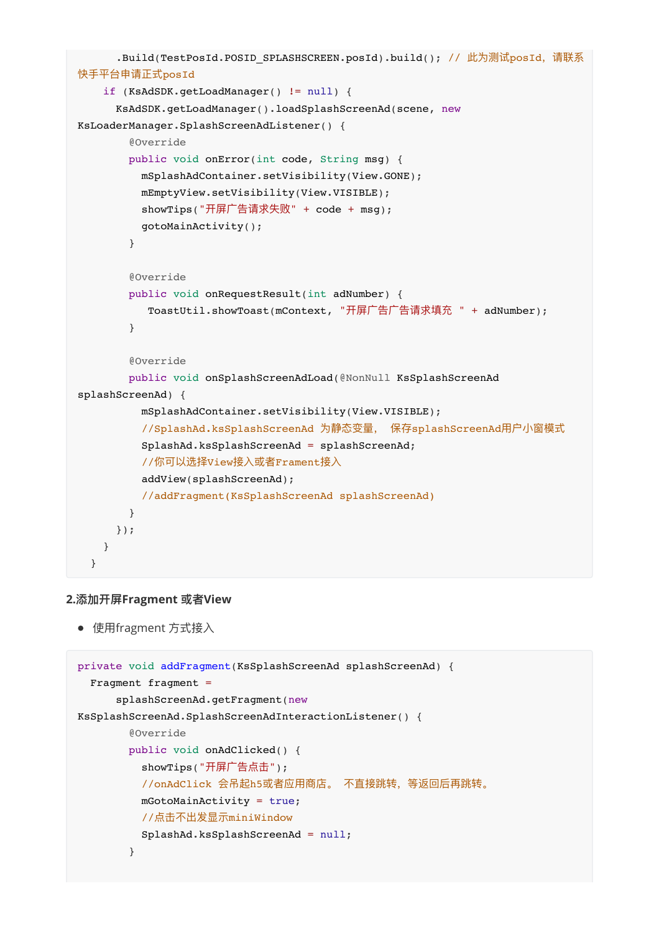```
.Build(TestPosId.POSID SPLASHSCREEN.posId).build(); // 此为测试posId, 请联系
快⼿平台申请正式posId
     if (KsAdSDK.getLoadManager() != null) {
       KsAdSDK.getLoadManager().loadSplashScreenAd(scene, new
KsLoaderManager.SplashScreenAdListener() {
         @Override
        public void onError(int code, String msg) {
          mSplashAdContainer.setVisibility(View.GONE);
          mEmptyView.setVisibility(View.VISIBLE);
         showTips("开屏广告请求失败" + code + msg);
          gotoMainActivity();
         }
         @Override
         public void onRequestResult(int adNumber) {
          ToastUtil.showToast(mContext, "开屏广告广告请求填充 " + adNumber);
 }
         @Override
         public void onSplashScreenAdLoad(@NonNull KsSplashScreenAd
splashScreenAd) {
          mSplashAdContainer.setVisibility(View.VISIBLE);
         //SplashAd.ksSplashScreenAd 为静态变量, 保存splashScreenAd用户小窗模式
          SplashAd.ksSplashScreenAd = splashScreenAd;
         //你可以选择View接入或者Frament接入
          addView(splashScreenAd);
          //addFragment(KsSplashScreenAd splashScreenAd)
        }
      });
     }
   }
```
#### **2.添加开屏Fragment 或者View**

<span id="page-36-0"></span>● 使用fragment 方式接入

```
private void addFragment(KsSplashScreenAd splashScreenAd) {
   Fragment fragment =
      splashScreenAd.getFragment(new
KsSplashScreenAd.SplashScreenAdInteractionListener() {
        @Override
        public void onAdClicked() {
         showTips("开屏广告点击");
          //onAdClick 会吊起h5或者应⽤商店。 不直接跳转,等返回后再跳转。
          mGotoMainActivity = true;
          //点击不出发显示miniWindow
          SplashAd.ksSplashScreenAd = null;
        }
```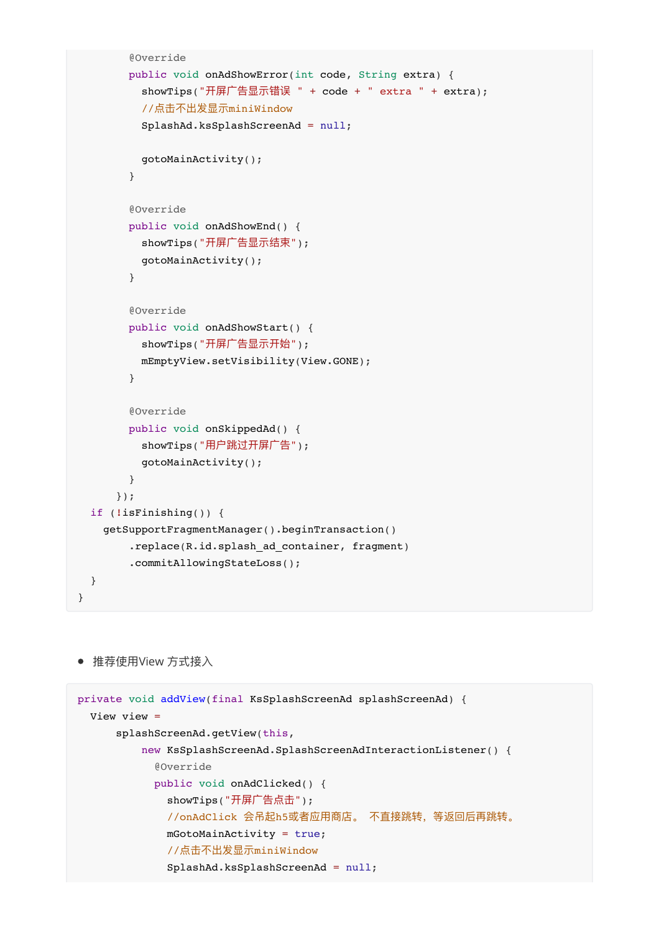```
 @Override
       public void onAdShowError(int code, String extra) {
        showTips("开屏广告显示错误 " + code + " extra " + extra);
         //点击不出发显示miniWindow
         SplashAd.ksSplashScreenAd = null;
         gotoMainActivity();
       }
       @Override
       public void onAdShowEnd() {
        showTips("开屏广告显示结束");
         gotoMainActivity();
       }
       @Override
       public void onAdShowStart() {
        showTips("开屏广告显示开始");
         mEmptyView.setVisibility(View.GONE);
       }
       @Override
       public void onSkippedAd() {
        showTips("用户跳过开屏广告");
         gotoMainActivity();
       }
     });
 if (!isFinishing()) {
   getSupportFragmentManager().beginTransaction()
      .replace(R.id.splash_ad_container, fragment)
       .commitAllowingStateLoss();
 }
```

```
● 推荐使用View 方式接入
```
}

```
private void addView(final KsSplashScreenAd splashScreenAd) {
  View view =
      splashScreenAd.getView(this,
          new KsSplashScreenAd.SplashScreenAdInteractionListener() {
            @Override
            public void onAdClicked() {
             showTips("开屏广告点击");
              //onAdClick 会吊起h5或者应⽤商店。 不直接跳转,等返回后再跳转。
              mGotoMainActivity = true;
              //点击不出发显示miniWindow
              SplashAd.ksSplashScreenAd = null;
```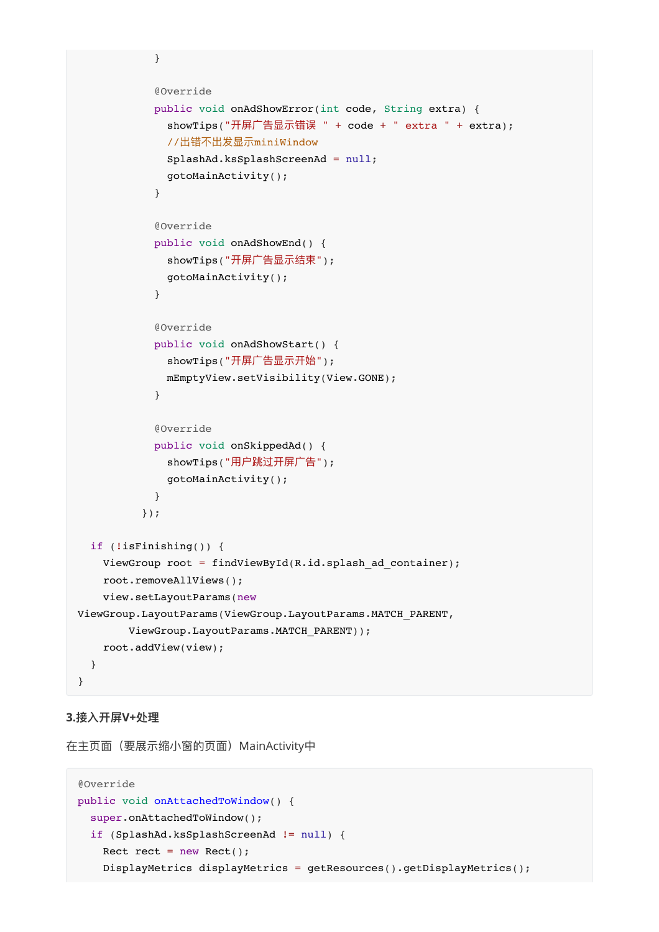```
 @Override
            public void onAdShowError(int code, String extra) {
             showTips("开屏广告显示错误 " + code + " extra " + extra);
              //出错不出发显示miniWindow
              SplashAd.ksSplashScreenAd = null;
              gotoMainActivity();
 }
            @Override
            public void onAdShowEnd() {
             showTips("开屏广告显示结束");
              gotoMainActivity();
 }
            @Override
            public void onAdShowStart() {
             showTips("开屏广告显示开始");
              mEmptyView.setVisibility(View.GONE);
 }
            @Override
            public void onSkippedAd() {
             showTips("用户跳过开屏广告");
              gotoMainActivity();
 }
          });
  if (!isFinishing()) {
   ViewGroup root = findViewById(R.id.splash ad container);
    root.removeAllViews();
    view.setLayoutParams(new
ViewGroup.LayoutParams(ViewGroup.LayoutParams.MATCH_PARENT,
        ViewGroup.LayoutParams.MATCH_PARENT));
    root.addView(view);
```
#### **3.接⼊开屏V+处理**

<span id="page-38-0"></span> } }

}

在主页面 (要展示缩小窗的页面) MainActivity中

```
@Override
public void onAttachedToWindow() {
   super.onAttachedToWindow();
   if (SplashAd.ksSplashScreenAd != null) {
    Rect rect = new Rect();
    DisplayMetrics displayMetrics = getResources().getDisplayMetrics();
```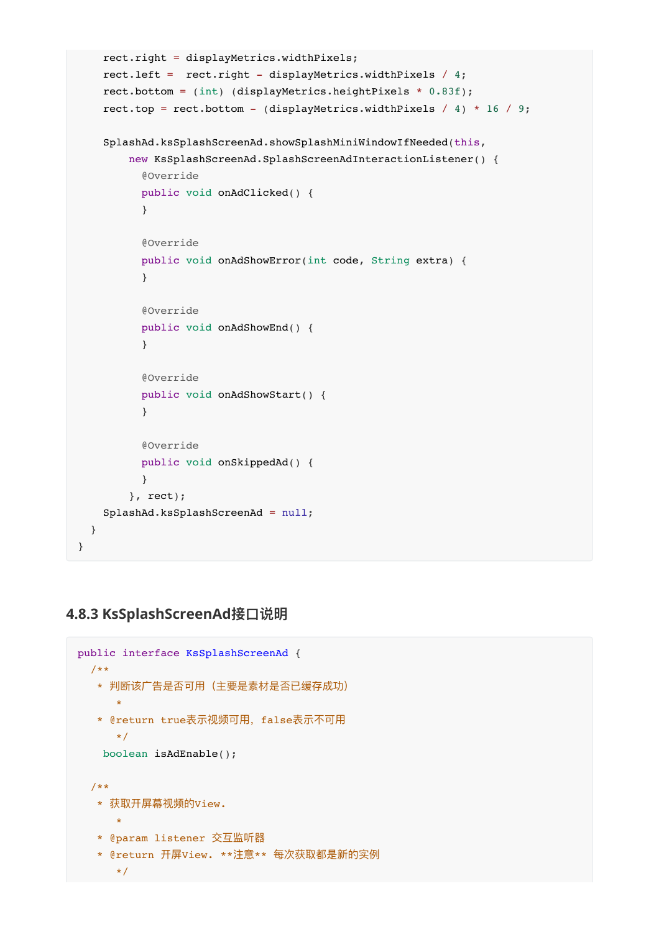```
 rect.right = displayMetrics.widthPixels;
     rect.left = rect.right - displayMetrics.widthPixels / 4;
     rect.bottom = (int) (displayMetrics.heightPixels * 0.83f);
    rect.top = rect.bottom - (displayMetrics.widthPixels / 4) * 16 / 9;
     SplashAd.ksSplashScreenAd.showSplashMiniWindowIfNeeded(this,
         new KsSplashScreenAd.SplashScreenAdInteractionListener() {
           @Override
           public void onAdClicked() {
           }
           @Override
           public void onAdShowError(int code, String extra) {
           }
           @Override
           public void onAdShowEnd() {
           }
           @Override
           public void onAdShowStart() {
 }
           @Override
           public void onSkippedAd() {
           }
         }, rect);
     SplashAd.ksSplashScreenAd = null;
   }
}
```
### **4.8.3 KsSplashScreenAd接⼝说明**

```
public interface KsSplashScreenAd {
  /**
  * 判断该广告是否可用 (主要是素材是否已缓存成功)
      *
  * @return true表示视频可用, false表示不可用
      */
    boolean isAdEnable();
  /**
   * 获取开屏幕视频的View.
 *
   * @param listener 交互监听器
   * @return 开屏View. **注意** 每次获取都是新的实例
      */
```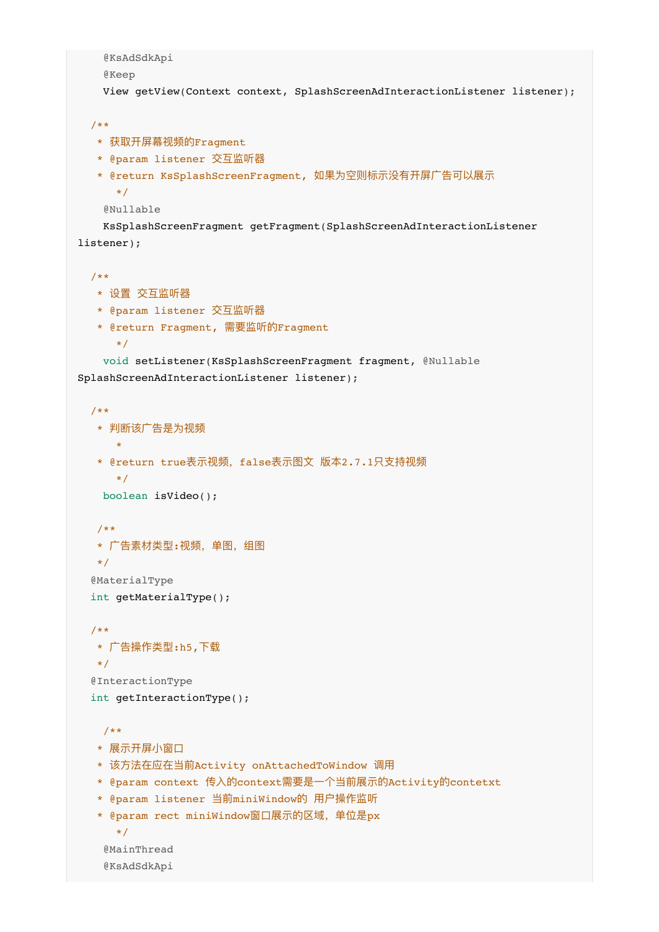```
 @KsAdSdkApi
     @Keep
    View getView(Context context, SplashScreenAdInteractionListener listener);
   /**
   * 获取开屏幕视频的Fragment
   * @param listener 交互监听器
   * @return KsSplashScreenFragment, 如果为空则标示没有开屏广告可以展示
      */
     @Nullable
    KsSplashScreenFragment getFragment(SplashScreenAdInteractionListener
listener);
   /**
   * 设置 交互监听器
   * @param listener 交互监听器
   * @return Fragment, 需要监听的Fragment
      */
    void setListener(KsSplashScreenFragment fragment, @Nullable
SplashScreenAdInteractionListener listener);
   /**
    * 判断该⼴告是为视频
      *
   * @return true表示视频, false表示图文 版本2.7.1只支持视频
      */
    boolean isVideo();
   /**
  * 广告素材类型:视频, 单图, 组图
   */
   @MaterialType
   int getMaterialType();
   /**
   * ⼴告操作类型:h5,下载
   */
   @InteractionType
   int getInteractionType();
    /**
   * 展示开屏小窗口
   * 该方法在应在当前Activity onAttachedToWindow 调用
    * @param context 传⼊的context需要是⼀个当前展示的Activity的contetxt
    * @param listener 当前miniWindow的 ⽤户操作监听
    * @param rect miniWindow窗⼝展示的区域,单位是px
      */
     @MainThread
     @KsAdSdkApi
```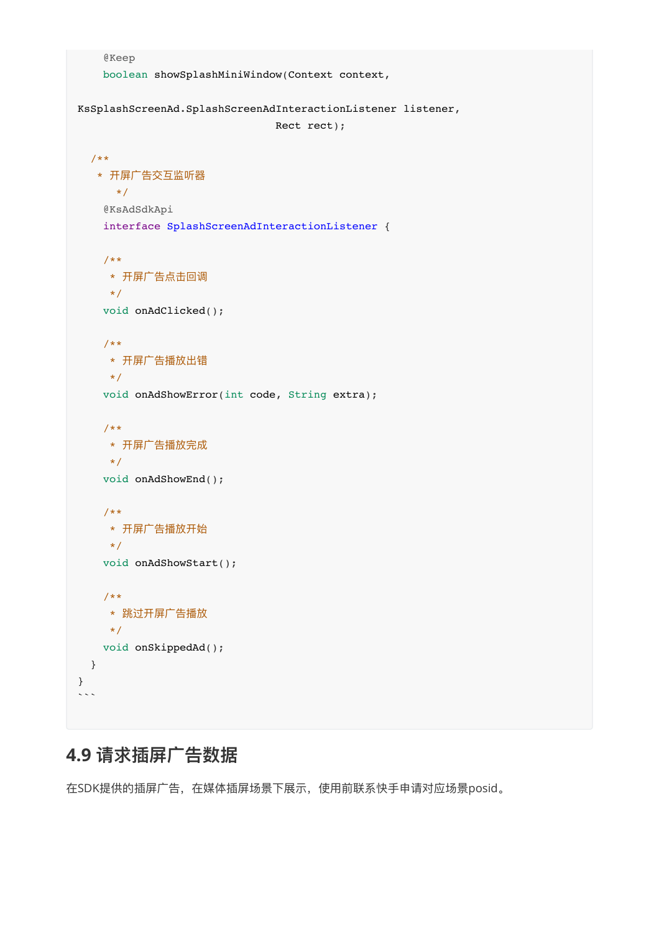```
 @Keep
    boolean showSplashMiniWindow(Context context,
KsSplashScreenAd.SplashScreenAdInteractionListener listener,
                               Rect rect);
  /**
  * 开屏广告交互监听器
      */
    @KsAdSdkApi
    interface SplashScreenAdInteractionListener {
    /**
     * 开屏⼴告点击回调
     */
    void onAdClicked();
    /**
    * 开屏广告播放出错
     */
    void onAdShowError(int code, String extra);
    /**
     * 开屏⼴告播放完成
     */
    void onAdShowEnd();
    /**
    * 开屏广告播放开始
     */
    void onAdShowStart();
    /**
     * 跳过开屏⼴告播放
     */
    void onSkippedAd();
  }
}
\ddotsc
```
### <span id="page-41-0"></span>**4.9 请求插屏⼴告数据**

在SDK提供的插屏广告, 在媒体插屏场景下展示, 使用前联系快手申请对应场景posid。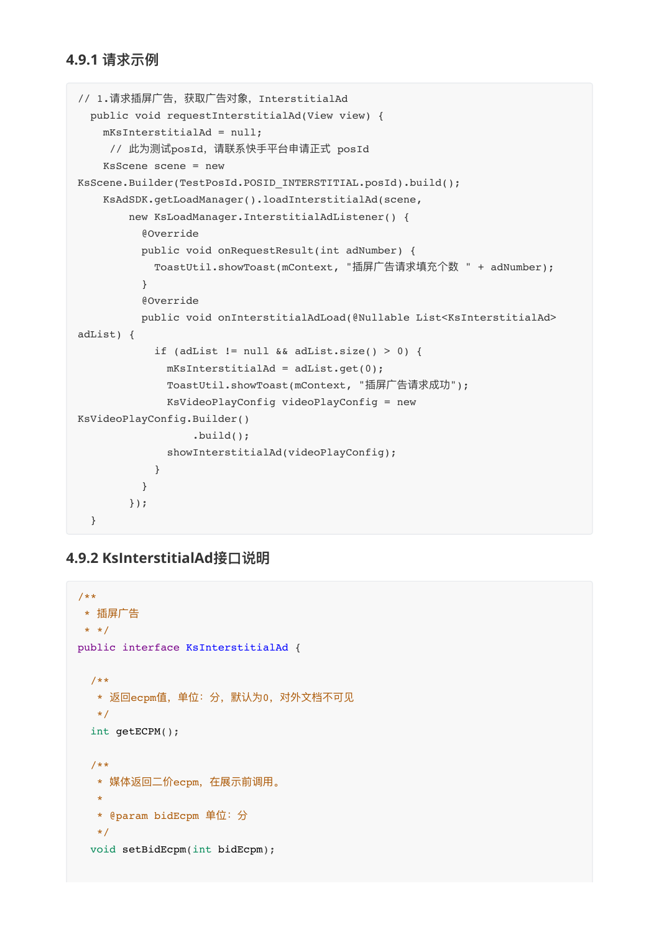#### **4.9.1 请求示例**

```
// 1.请求插屏广告,获取广告对象, InterstitialAd
  public void requestInterstitialAd(View view) {
    mKsInterstitialAd = null;
     // 此为测试posId, 请联系快手平台申请正式 posId
    KsScene scene = new
KsScene.Builder(TestPosId.POSID_INTERSTITIAL.posId).build();
    KsAdSDK.getLoadManager().loadInterstitialAd(scene,
        new KsLoadManager.InterstitialAdListener() {
          @Override
          public void onRequestResult(int adNumber) {
           ToastUtil.showToast(mContext, "插屏广告请求填充个数 " + adNumber);
          }
          @Override
          public void onInterstitialAdLoad(@Nullable List<KsInterstitialAd>
adList) {
           if (adList != null \&\& adList.size() > 0) {
             mKsInterstitialAd = adList.get(0);ToastUtil.showToast(mContext, "插屏广告请求成功");
              KsVideoPlayConfig videoPlayConfig = new
KsVideoPlayConfig.Builder()
                   .build();
              showInterstitialAd(videoPlayConfig);
 }
          }
        });
   }
```
#### **4.9.2 KsInterstitialAd接⼝说明**

```
/**
* 插屏⼴告
* */
public interface KsInterstitialAd {
  /**
  * 返回ecpm值, 单位: 分, 默认为0, 对外文档不可见
   */
  int getECPM();
   /**
  * 媒体返回二价ecpm, 在展示前调用。
\mathbf{r} * @param bidEcpm 单位:分
   */
   void setBidEcpm(int bidEcpm);
```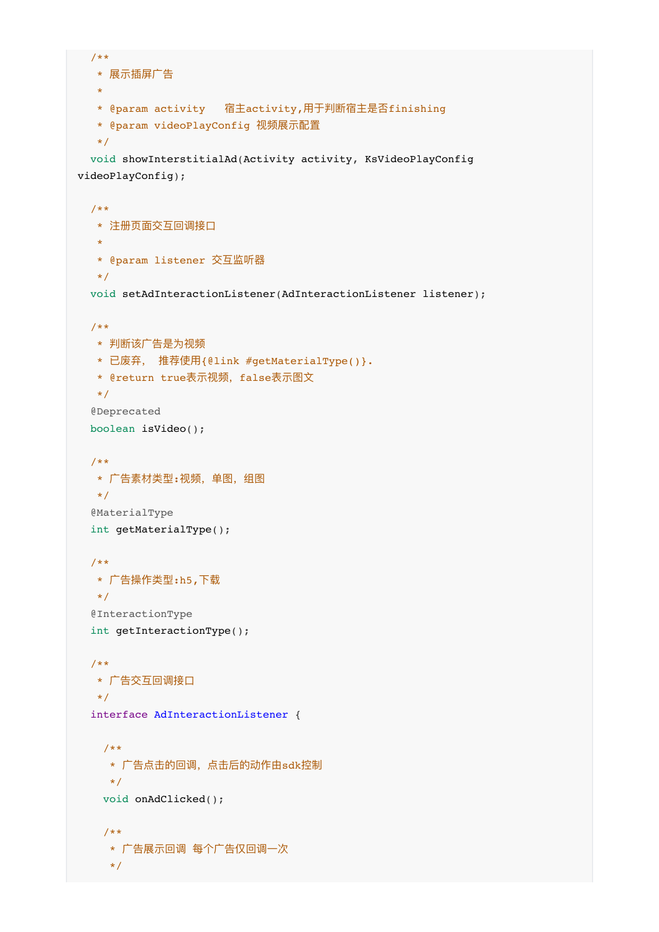```
 /**
  * 展示插屏广告
  \star * @param activity 宿主activity,⽤于判断宿主是否finishing
   * @param videoPlayConfig 视频展示配置
   */
  void showInterstitialAd(Activity activity, KsVideoPlayConfig
videoPlayConfig);
  /**
  * 注册页面交互回调接口
\mathbf{r} * @param listener 交互监听器
   */
  void setAdInteractionListener(AdInteractionListener listener);
   /**
   * 判断该⼴告是为视频
   * 已废弃, 推荐使⽤{@link #getMaterialType()}.
  * @return true表示视频, false表示图文
   */
   @Deprecated
   boolean isVideo();
   /**
  * 广告素材类型:视频, 单图, 组图
   */
   @MaterialType
   int getMaterialType();
   /**
  * 广告操作类型:h5,下载
   */
   @InteractionType
   int getInteractionType();
   /**
  * 广告交互回调接口
   */
   interface AdInteractionListener {
    /**
    * 广告点击的回调, 点击后的动作由sdk控制
     */
    void onAdClicked();
    /**
    * 广告展示回调 每个广告仅回调一次
     */
```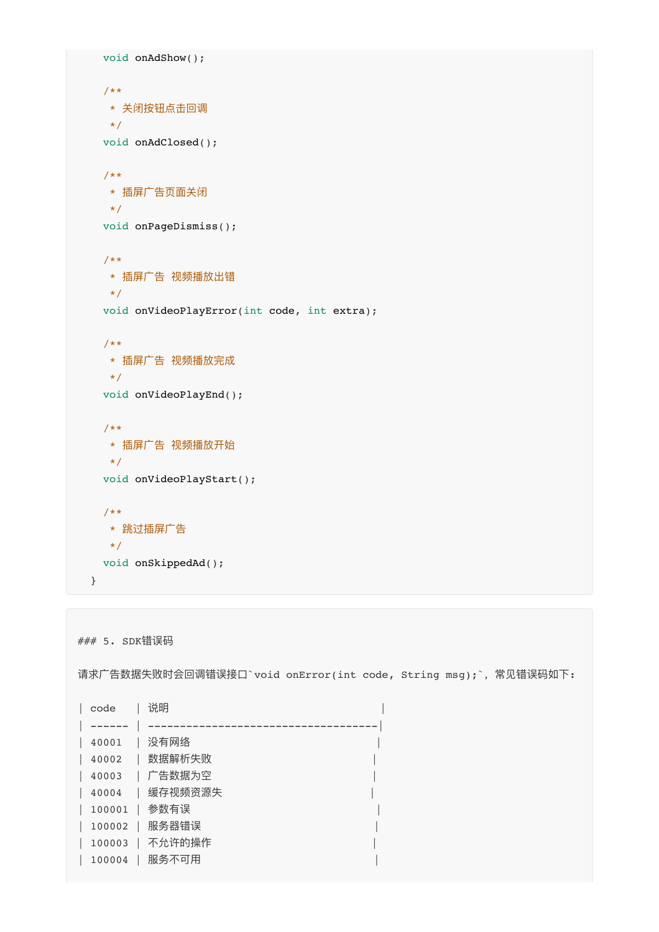```
 void onAdShow();
  /**
   * 关闭按钮点击回调
   */
  void onAdClosed();
  /**
  * 插屏广告页面关闭
  \star/ void onPageDismiss();
  /**
  * 插屏广告 视频播放出错
   */
  void onVideoPlayError(int code, int extra);
  /**
   * 插屏⼴告 视频播放完成
  \star /
  void onVideoPlayEnd();
  /**
  * 插屏广告 视频播放开始
   */
  void onVideoPlayStart();
  /**
  * 跳过插屏广告
   */
  void onSkippedAd();
 }
```

```
### 5. SDK错误码
```
请求广告数据失败时会回调错误接口`void onError(int code, String msg);`, 常见错误码如下:

| code   | 说明      |  |
|--------|---------|--|
|        |         |  |
| 40001  | 没有网络    |  |
| 40002  | 数据解析失败  |  |
| 40003  | 广告数据为空  |  |
| 40004  | 缓存视频资源失 |  |
| 100001 | 参数有误    |  |
| 100002 | 服务器错误   |  |
| 100003 | 不允许的操作  |  |
| 100004 | 服务不可用   |  |
|        |         |  |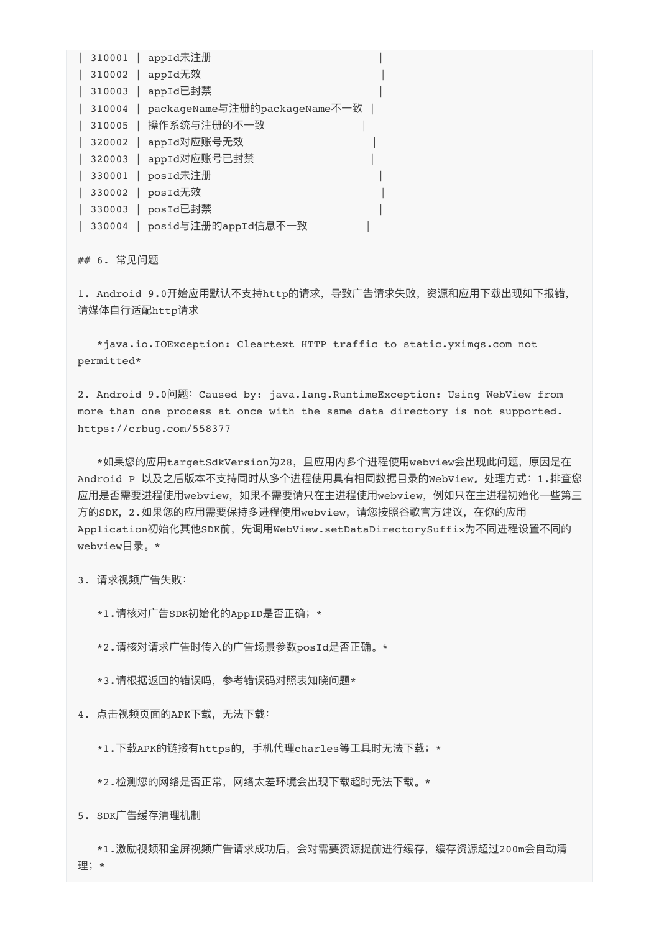| 310001   | appId未注册                      |  |
|----------|-------------------------------|--|
| 310002   | appId无效                       |  |
| 310003   | appId已封禁                      |  |
| 310004   | packageName与注册的packageName不一致 |  |
| 310005   | 操作系统与注册的不一致                   |  |
| 320002   | appId对应账号无效                   |  |
| $320003$ | appId对应账号已封禁                  |  |
| 330001   | posId未注册                      |  |
| 330002   | posId无效                       |  |
| 330003   | posId已封禁                      |  |
| 330004   | posid与注册的appId信息不一致           |  |

## 6. 常⻅问题

1. Android 9.0开始应用默认不支持http的请求,导致广告请求失败,资源和应用下载出现如下报错, 请媒体⾃⾏适配http请求

 \*java.io.IOException: Cleartext HTTP traffic to static.yximgs.com not permitted\*

2. Android 9.0问题:Caused by: java.lang.RuntimeException: Using WebView from more than one process at once with the same data directory is not supported. https://crbug.com/558377

 \*如果您的应⽤targetSdkVersion为28,且应⽤内多个进程使⽤webview会出现此问题,原因是在 Android P 以及之后版本不支持同时从多个进程使用具有相同数据目录的WebView。处理方式: 1.排查您 应用是否需要进程使用webview,如果不需要请只在主进程使用webview,例如只在主进程初始化一些第三 方的SDK, 2.如果您的应用需要保持多进程使用webview, 请您按照谷歌官方建议, 在你的应用 Application初始化其他SDK前,先调用WebView.setDataDirectorySuffix为不同进程设置不同的 webview⽬录。\*

3. 请求视频广告失败:

\*1.请核对广告SDK初始化的AppID是否正确; \*

\*2.请核对请求广告时传入的广告场景参数posId是否正确。\*

\*3.请根据返回的错误吗,参考错误码对照表知晓问题\*

4. 点击视频页面的APK下载, 无法下载:

\*1.下载APK的链接有https的,⼿机代理charles等⼯具时⽆法下载;\*

\*2.检测您的网络是否正常, 网络太差环境会出现下载超时无法下载。\*

5. SDK广告缓存清理机制

\*1.激励视频和全屏视频广告请求成功后,会对需要资源提前进行缓存,缓存资源超过200m会自动清 理;\*